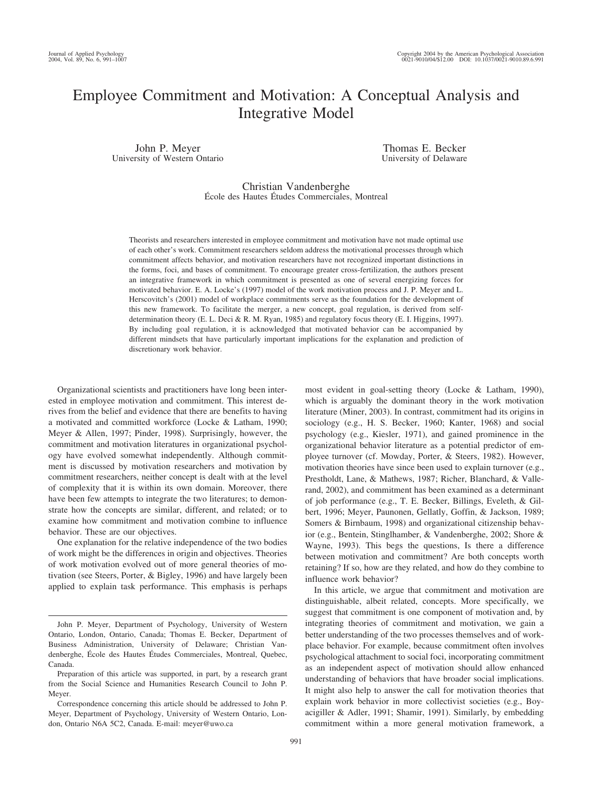# Employee Commitment and Motivation: A Conceptual Analysis and Integrative Model

John P. Meyer University of Western Ontario

Thomas E. Becker University of Delaware

Christian Vandenberghe École des Hautes Études Commerciales, Montreal

Theorists and researchers interested in employee commitment and motivation have not made optimal use of each other's work. Commitment researchers seldom address the motivational processes through which commitment affects behavior, and motivation researchers have not recognized important distinctions in the forms, foci, and bases of commitment. To encourage greater cross-fertilization, the authors present an integrative framework in which commitment is presented as one of several energizing forces for motivated behavior. E. A. Locke's (1997) model of the work motivation process and J. P. Meyer and L. Herscovitch's (2001) model of workplace commitments serve as the foundation for the development of this new framework. To facilitate the merger, a new concept, goal regulation, is derived from selfdetermination theory (E. L. Deci & R. M. Ryan, 1985) and regulatory focus theory (E. I. Higgins, 1997). By including goal regulation, it is acknowledged that motivated behavior can be accompanied by different mindsets that have particularly important implications for the explanation and prediction of discretionary work behavior.

Organizational scientists and practitioners have long been interested in employee motivation and commitment. This interest derives from the belief and evidence that there are benefits to having a motivated and committed workforce (Locke & Latham, 1990; Meyer & Allen, 1997; Pinder, 1998). Surprisingly, however, the commitment and motivation literatures in organizational psychology have evolved somewhat independently. Although commitment is discussed by motivation researchers and motivation by commitment researchers, neither concept is dealt with at the level of complexity that it is within its own domain. Moreover, there have been few attempts to integrate the two literatures; to demonstrate how the concepts are similar, different, and related; or to examine how commitment and motivation combine to influence behavior. These are our objectives.

One explanation for the relative independence of the two bodies of work might be the differences in origin and objectives. Theories of work motivation evolved out of more general theories of motivation (see Steers, Porter, & Bigley, 1996) and have largely been applied to explain task performance. This emphasis is perhaps most evident in goal-setting theory (Locke & Latham, 1990), which is arguably the dominant theory in the work motivation literature (Miner, 2003). In contrast, commitment had its origins in sociology (e.g., H. S. Becker, 1960; Kanter, 1968) and social psychology (e.g., Kiesler, 1971), and gained prominence in the organizational behavior literature as a potential predictor of employee turnover (cf. Mowday, Porter, & Steers, 1982). However, motivation theories have since been used to explain turnover (e.g., Prestholdt, Lane, & Mathews, 1987; Richer, Blanchard, & Vallerand, 2002), and commitment has been examined as a determinant of job performance (e.g., T. E. Becker, Billings, Eveleth, & Gilbert, 1996; Meyer, Paunonen, Gellatly, Goffin, & Jackson, 1989; Somers & Birnbaum, 1998) and organizational citizenship behavior (e.g., Bentein, Stinglhamber, & Vandenberghe, 2002; Shore & Wayne, 1993). This begs the questions, Is there a difference between motivation and commitment? Are both concepts worth retaining? If so, how are they related, and how do they combine to influence work behavior?

In this article, we argue that commitment and motivation are distinguishable, albeit related, concepts. More specifically, we suggest that commitment is one component of motivation and, by integrating theories of commitment and motivation, we gain a better understanding of the two processes themselves and of workplace behavior. For example, because commitment often involves psychological attachment to social foci, incorporating commitment as an independent aspect of motivation should allow enhanced understanding of behaviors that have broader social implications. It might also help to answer the call for motivation theories that explain work behavior in more collectivist societies (e.g., Boyacigiller & Adler, 1991; Shamir, 1991). Similarly, by embedding commitment within a more general motivation framework, a

John P. Meyer, Department of Psychology, University of Western Ontario, London, Ontario, Canada; Thomas E. Becker, Department of Business Administration, University of Delaware; Christian Vandenberghe, École des Hautes Études Commerciales, Montreal, Quebec, Canada.

Preparation of this article was supported, in part, by a research grant from the Social Science and Humanities Research Council to John P. Meyer.

Correspondence concerning this article should be addressed to John P. Meyer, Department of Psychology, University of Western Ontario, London, Ontario N6A 5C2, Canada. E-mail: meyer@uwo.ca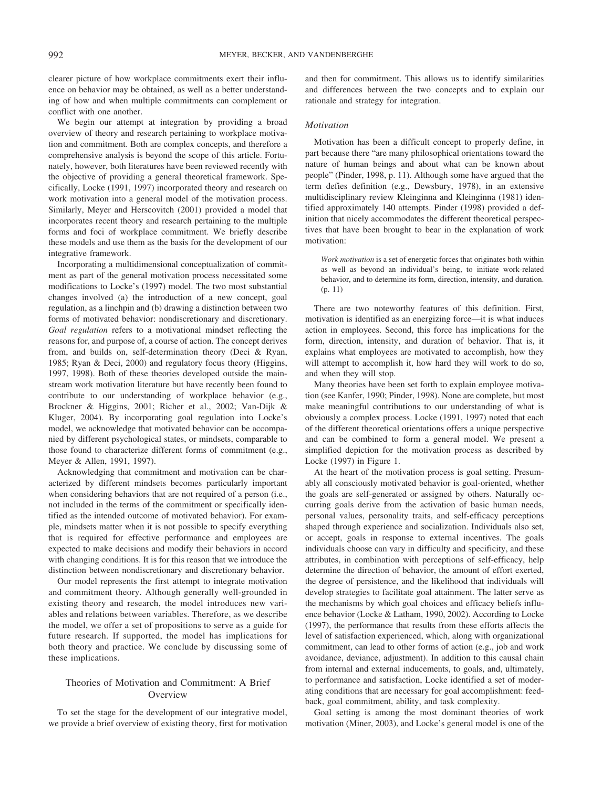clearer picture of how workplace commitments exert their influence on behavior may be obtained, as well as a better understanding of how and when multiple commitments can complement or conflict with one another.

We begin our attempt at integration by providing a broad overview of theory and research pertaining to workplace motivation and commitment. Both are complex concepts, and therefore a comprehensive analysis is beyond the scope of this article. Fortunately, however, both literatures have been reviewed recently with the objective of providing a general theoretical framework. Specifically, Locke (1991, 1997) incorporated theory and research on work motivation into a general model of the motivation process. Similarly, Meyer and Herscovitch (2001) provided a model that incorporates recent theory and research pertaining to the multiple forms and foci of workplace commitment. We briefly describe these models and use them as the basis for the development of our integrative framework.

Incorporating a multidimensional conceptualization of commitment as part of the general motivation process necessitated some modifications to Locke's (1997) model. The two most substantial changes involved (a) the introduction of a new concept, goal regulation, as a linchpin and (b) drawing a distinction between two forms of motivated behavior: nondiscretionary and discretionary. *Goal regulation* refers to a motivational mindset reflecting the reasons for, and purpose of, a course of action. The concept derives from, and builds on, self-determination theory (Deci & Ryan, 1985; Ryan & Deci, 2000) and regulatory focus theory (Higgins, 1997, 1998). Both of these theories developed outside the mainstream work motivation literature but have recently been found to contribute to our understanding of workplace behavior (e.g., Brockner & Higgins, 2001; Richer et al., 2002; Van-Dijk & Kluger, 2004). By incorporating goal regulation into Locke's model, we acknowledge that motivated behavior can be accompanied by different psychological states, or mindsets, comparable to those found to characterize different forms of commitment (e.g., Meyer & Allen, 1991, 1997).

Acknowledging that commitment and motivation can be characterized by different mindsets becomes particularly important when considering behaviors that are not required of a person (i.e., not included in the terms of the commitment or specifically identified as the intended outcome of motivated behavior). For example, mindsets matter when it is not possible to specify everything that is required for effective performance and employees are expected to make decisions and modify their behaviors in accord with changing conditions. It is for this reason that we introduce the distinction between nondiscretionary and discretionary behavior.

Our model represents the first attempt to integrate motivation and commitment theory. Although generally well-grounded in existing theory and research, the model introduces new variables and relations between variables. Therefore, as we describe the model, we offer a set of propositions to serve as a guide for future research. If supported, the model has implications for both theory and practice. We conclude by discussing some of these implications.

# Theories of Motivation and Commitment: A Brief **Overview**

To set the stage for the development of our integrative model, we provide a brief overview of existing theory, first for motivation and then for commitment. This allows us to identify similarities and differences between the two concepts and to explain our rationale and strategy for integration.

#### *Motivation*

Motivation has been a difficult concept to properly define, in part because there "are many philosophical orientations toward the nature of human beings and about what can be known about people" (Pinder, 1998, p. 11). Although some have argued that the term defies definition (e.g., Dewsbury, 1978), in an extensive multidisciplinary review Kleinginna and Kleinginna (1981) identified approximately 140 attempts. Pinder (1998) provided a definition that nicely accommodates the different theoretical perspectives that have been brought to bear in the explanation of work motivation:

*Work motivation* is a set of energetic forces that originates both within as well as beyond an individual's being, to initiate work-related behavior, and to determine its form, direction, intensity, and duration. (p. 11)

There are two noteworthy features of this definition. First, motivation is identified as an energizing force—it is what induces action in employees. Second, this force has implications for the form, direction, intensity, and duration of behavior. That is, it explains what employees are motivated to accomplish, how they will attempt to accomplish it, how hard they will work to do so, and when they will stop.

Many theories have been set forth to explain employee motivation (see Kanfer, 1990; Pinder, 1998). None are complete, but most make meaningful contributions to our understanding of what is obviously a complex process. Locke (1991, 1997) noted that each of the different theoretical orientations offers a unique perspective and can be combined to form a general model. We present a simplified depiction for the motivation process as described by Locke (1997) in Figure 1.

At the heart of the motivation process is goal setting. Presumably all consciously motivated behavior is goal-oriented, whether the goals are self-generated or assigned by others. Naturally occurring goals derive from the activation of basic human needs, personal values, personality traits, and self-efficacy perceptions shaped through experience and socialization. Individuals also set, or accept, goals in response to external incentives. The goals individuals choose can vary in difficulty and specificity, and these attributes, in combination with perceptions of self-efficacy, help determine the direction of behavior, the amount of effort exerted, the degree of persistence, and the likelihood that individuals will develop strategies to facilitate goal attainment. The latter serve as the mechanisms by which goal choices and efficacy beliefs influence behavior (Locke & Latham, 1990, 2002). According to Locke (1997), the performance that results from these efforts affects the level of satisfaction experienced, which, along with organizational commitment, can lead to other forms of action (e.g., job and work avoidance, deviance, adjustment). In addition to this causal chain from internal and external inducements, to goals, and, ultimately, to performance and satisfaction, Locke identified a set of moderating conditions that are necessary for goal accomplishment: feedback, goal commitment, ability, and task complexity.

Goal setting is among the most dominant theories of work motivation (Miner, 2003), and Locke's general model is one of the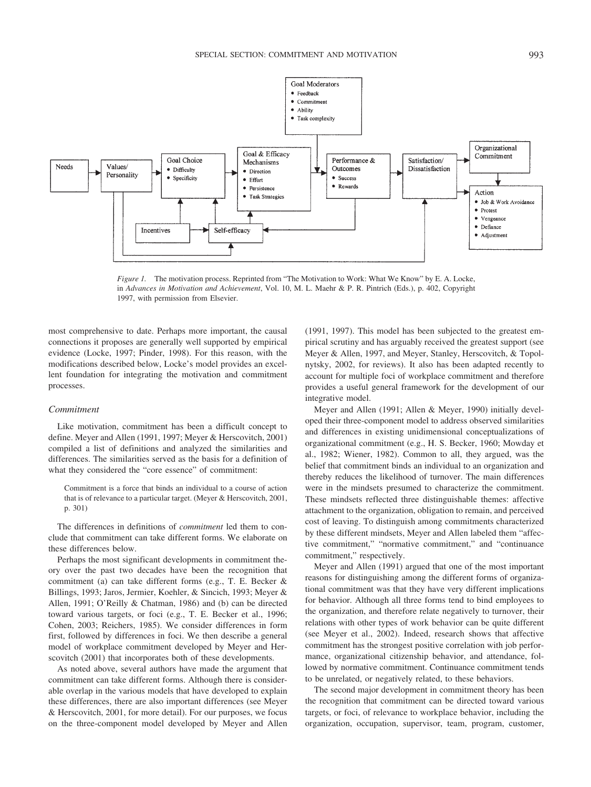

*Figure 1.* The motivation process. Reprinted from "The Motivation to Work: What We Know" by E. A. Locke, in *Advances in Motivation and Achievement*, Vol. 10, M. L. Maehr & P. R. Pintrich (Eds.), p. 402, Copyright 1997, with permission from Elsevier.

most comprehensive to date. Perhaps more important, the causal connections it proposes are generally well supported by empirical evidence (Locke, 1997; Pinder, 1998). For this reason, with the modifications described below, Locke's model provides an excellent foundation for integrating the motivation and commitment processes.

#### *Commitment*

Like motivation, commitment has been a difficult concept to define. Meyer and Allen (1991, 1997; Meyer & Herscovitch, 2001) compiled a list of definitions and analyzed the similarities and differences. The similarities served as the basis for a definition of what they considered the "core essence" of commitment:

Commitment is a force that binds an individual to a course of action that is of relevance to a particular target. (Meyer & Herscovitch, 2001, p. 301)

The differences in definitions of *commitment* led them to conclude that commitment can take different forms. We elaborate on these differences below.

Perhaps the most significant developments in commitment theory over the past two decades have been the recognition that commitment (a) can take different forms (e.g., T. E. Becker & Billings, 1993; Jaros, Jermier, Koehler, & Sincich, 1993; Meyer & Allen, 1991; O'Reilly & Chatman, 1986) and (b) can be directed toward various targets, or foci (e.g., T. E. Becker et al., 1996; Cohen, 2003; Reichers, 1985). We consider differences in form first, followed by differences in foci. We then describe a general model of workplace commitment developed by Meyer and Herscovitch (2001) that incorporates both of these developments.

As noted above, several authors have made the argument that commitment can take different forms. Although there is considerable overlap in the various models that have developed to explain these differences, there are also important differences (see Meyer & Herscovitch, 2001, for more detail). For our purposes, we focus on the three-component model developed by Meyer and Allen

(1991, 1997). This model has been subjected to the greatest empirical scrutiny and has arguably received the greatest support (see Meyer & Allen, 1997, and Meyer, Stanley, Herscovitch, & Topolnytsky, 2002, for reviews). It also has been adapted recently to account for multiple foci of workplace commitment and therefore provides a useful general framework for the development of our integrative model.

Meyer and Allen (1991; Allen & Meyer, 1990) initially developed their three-component model to address observed similarities and differences in existing unidimensional conceptualizations of organizational commitment (e.g., H. S. Becker, 1960; Mowday et al., 1982; Wiener, 1982). Common to all, they argued, was the belief that commitment binds an individual to an organization and thereby reduces the likelihood of turnover. The main differences were in the mindsets presumed to characterize the commitment. These mindsets reflected three distinguishable themes: affective attachment to the organization, obligation to remain, and perceived cost of leaving. To distinguish among commitments characterized by these different mindsets, Meyer and Allen labeled them "affective commitment," "normative commitment," and "continuance commitment," respectively.

Meyer and Allen (1991) argued that one of the most important reasons for distinguishing among the different forms of organizational commitment was that they have very different implications for behavior. Although all three forms tend to bind employees to the organization, and therefore relate negatively to turnover, their relations with other types of work behavior can be quite different (see Meyer et al., 2002). Indeed, research shows that affective commitment has the strongest positive correlation with job performance, organizational citizenship behavior, and attendance, followed by normative commitment. Continuance commitment tends to be unrelated, or negatively related, to these behaviors.

The second major development in commitment theory has been the recognition that commitment can be directed toward various targets, or foci, of relevance to workplace behavior, including the organization, occupation, supervisor, team, program, customer,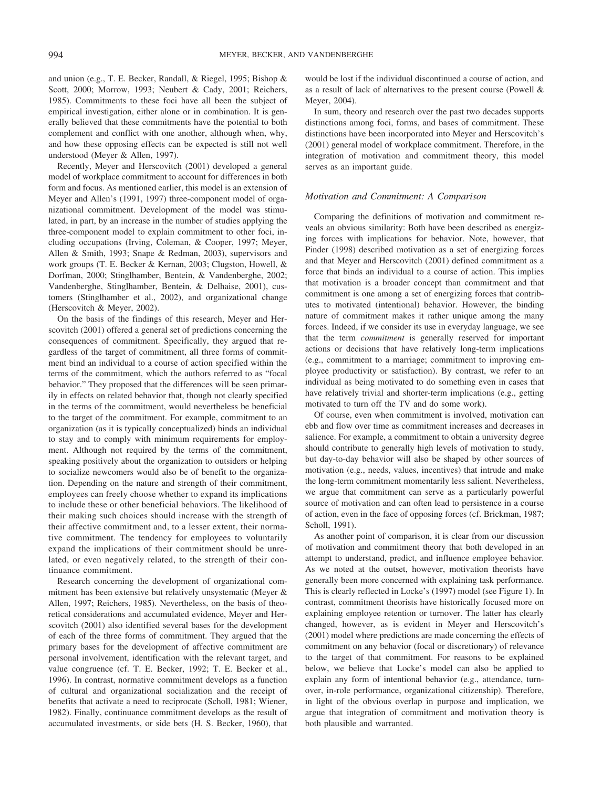and union (e.g., T. E. Becker, Randall, & Riegel, 1995; Bishop & Scott, 2000; Morrow, 1993; Neubert & Cady, 2001; Reichers, 1985). Commitments to these foci have all been the subject of empirical investigation, either alone or in combination. It is generally believed that these commitments have the potential to both complement and conflict with one another, although when, why, and how these opposing effects can be expected is still not well understood (Meyer & Allen, 1997).

Recently, Meyer and Herscovitch (2001) developed a general model of workplace commitment to account for differences in both form and focus. As mentioned earlier, this model is an extension of Meyer and Allen's (1991, 1997) three-component model of organizational commitment. Development of the model was stimulated, in part, by an increase in the number of studies applying the three-component model to explain commitment to other foci, including occupations (Irving, Coleman, & Cooper, 1997; Meyer, Allen & Smith, 1993; Snape & Redman, 2003), supervisors and work groups (T. E. Becker & Kernan, 2003; Clugston, Howell, & Dorfman, 2000; Stinglhamber, Bentein, & Vandenberghe, 2002; Vandenberghe, Stinglhamber, Bentein, & Delhaise, 2001), customers (Stinglhamber et al., 2002), and organizational change (Herscovitch & Meyer, 2002).

On the basis of the findings of this research, Meyer and Herscovitch (2001) offered a general set of predictions concerning the consequences of commitment. Specifically, they argued that regardless of the target of commitment, all three forms of commitment bind an individual to a course of action specified within the terms of the commitment, which the authors referred to as "focal behavior." They proposed that the differences will be seen primarily in effects on related behavior that, though not clearly specified in the terms of the commitment, would nevertheless be beneficial to the target of the commitment. For example, commitment to an organization (as it is typically conceptualized) binds an individual to stay and to comply with minimum requirements for employment. Although not required by the terms of the commitment, speaking positively about the organization to outsiders or helping to socialize newcomers would also be of benefit to the organization. Depending on the nature and strength of their commitment, employees can freely choose whether to expand its implications to include these or other beneficial behaviors. The likelihood of their making such choices should increase with the strength of their affective commitment and, to a lesser extent, their normative commitment. The tendency for employees to voluntarily expand the implications of their commitment should be unrelated, or even negatively related, to the strength of their continuance commitment.

Research concerning the development of organizational commitment has been extensive but relatively unsystematic (Meyer & Allen, 1997; Reichers, 1985). Nevertheless, on the basis of theoretical considerations and accumulated evidence, Meyer and Herscovitch (2001) also identified several bases for the development of each of the three forms of commitment. They argued that the primary bases for the development of affective commitment are personal involvement, identification with the relevant target, and value congruence (cf. T. E. Becker, 1992; T. E. Becker et al., 1996). In contrast, normative commitment develops as a function of cultural and organizational socialization and the receipt of benefits that activate a need to reciprocate (Scholl, 1981; Wiener, 1982). Finally, continuance commitment develops as the result of accumulated investments, or side bets (H. S. Becker, 1960), that would be lost if the individual discontinued a course of action, and as a result of lack of alternatives to the present course (Powell & Meyer, 2004).

In sum, theory and research over the past two decades supports distinctions among foci, forms, and bases of commitment. These distinctions have been incorporated into Meyer and Herscovitch's (2001) general model of workplace commitment. Therefore, in the integration of motivation and commitment theory, this model serves as an important guide.

# *Motivation and Commitment: A Comparison*

Comparing the definitions of motivation and commitment reveals an obvious similarity: Both have been described as energizing forces with implications for behavior. Note, however, that Pinder (1998) described motivation as a set of energizing forces and that Meyer and Herscovitch (2001) defined commitment as a force that binds an individual to a course of action. This implies that motivation is a broader concept than commitment and that commitment is one among a set of energizing forces that contributes to motivated (intentional) behavior. However, the binding nature of commitment makes it rather unique among the many forces. Indeed, if we consider its use in everyday language, we see that the term *commitment* is generally reserved for important actions or decisions that have relatively long-term implications (e.g., commitment to a marriage; commitment to improving employee productivity or satisfaction). By contrast, we refer to an individual as being motivated to do something even in cases that have relatively trivial and shorter-term implications (e.g., getting motivated to turn off the TV and do some work).

Of course, even when commitment is involved, motivation can ebb and flow over time as commitment increases and decreases in salience. For example, a commitment to obtain a university degree should contribute to generally high levels of motivation to study, but day-to-day behavior will also be shaped by other sources of motivation (e.g., needs, values, incentives) that intrude and make the long-term commitment momentarily less salient. Nevertheless, we argue that commitment can serve as a particularly powerful source of motivation and can often lead to persistence in a course of action, even in the face of opposing forces (cf. Brickman, 1987; Scholl, 1991).

As another point of comparison, it is clear from our discussion of motivation and commitment theory that both developed in an attempt to understand, predict, and influence employee behavior. As we noted at the outset, however, motivation theorists have generally been more concerned with explaining task performance. This is clearly reflected in Locke's (1997) model (see Figure 1). In contrast, commitment theorists have historically focused more on explaining employee retention or turnover. The latter has clearly changed, however, as is evident in Meyer and Herscovitch's (2001) model where predictions are made concerning the effects of commitment on any behavior (focal or discretionary) of relevance to the target of that commitment. For reasons to be explained below, we believe that Locke's model can also be applied to explain any form of intentional behavior (e.g., attendance, turnover, in-role performance, organizational citizenship). Therefore, in light of the obvious overlap in purpose and implication, we argue that integration of commitment and motivation theory is both plausible and warranted.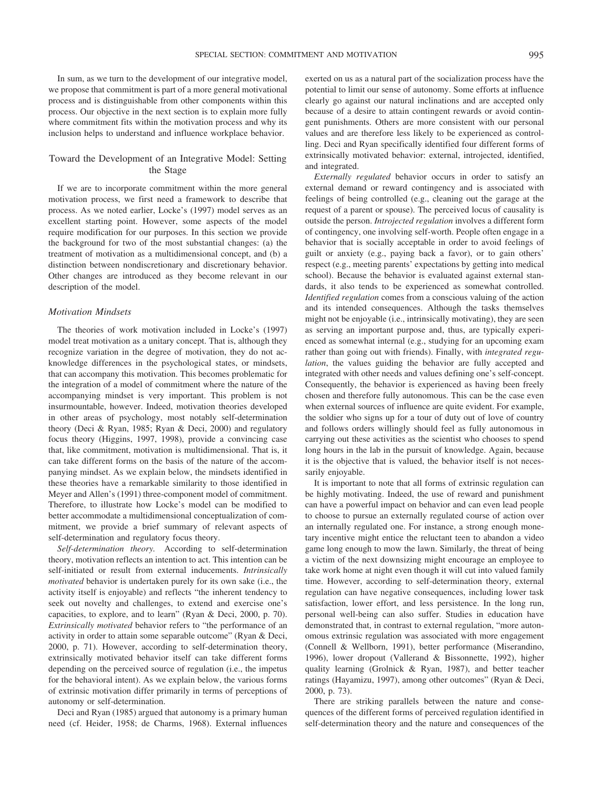In sum, as we turn to the development of our integrative model, we propose that commitment is part of a more general motivational process and is distinguishable from other components within this process. Our objective in the next section is to explain more fully where commitment fits within the motivation process and why its inclusion helps to understand and influence workplace behavior.

# Toward the Development of an Integrative Model: Setting the Stage

If we are to incorporate commitment within the more general motivation process, we first need a framework to describe that process. As we noted earlier, Locke's (1997) model serves as an excellent starting point. However, some aspects of the model require modification for our purposes. In this section we provide the background for two of the most substantial changes: (a) the treatment of motivation as a multidimensional concept, and (b) a distinction between nondiscretionary and discretionary behavior. Other changes are introduced as they become relevant in our description of the model.

# *Motivation Mindsets*

The theories of work motivation included in Locke's (1997) model treat motivation as a unitary concept. That is, although they recognize variation in the degree of motivation, they do not acknowledge differences in the psychological states, or mindsets, that can accompany this motivation. This becomes problematic for the integration of a model of commitment where the nature of the accompanying mindset is very important. This problem is not insurmountable, however. Indeed, motivation theories developed in other areas of psychology, most notably self-determination theory (Deci & Ryan, 1985; Ryan & Deci, 2000) and regulatory focus theory (Higgins, 1997, 1998), provide a convincing case that, like commitment, motivation is multidimensional. That is, it can take different forms on the basis of the nature of the accompanying mindset. As we explain below, the mindsets identified in these theories have a remarkable similarity to those identified in Meyer and Allen's (1991) three-component model of commitment. Therefore, to illustrate how Locke's model can be modified to better accommodate a multidimensional conceptualization of commitment, we provide a brief summary of relevant aspects of self-determination and regulatory focus theory.

*Self-determination theory.* According to self-determination theory, motivation reflects an intention to act. This intention can be self-initiated or result from external inducements. *Intrinsically motivated* behavior is undertaken purely for its own sake (i.e., the activity itself is enjoyable) and reflects "the inherent tendency to seek out novelty and challenges, to extend and exercise one's capacities, to explore, and to learn" (Ryan & Deci, 2000, p. 70). *Extrinsically motivated* behavior refers to "the performance of an activity in order to attain some separable outcome" (Ryan & Deci, 2000, p. 71). However, according to self-determination theory, extrinsically motivated behavior itself can take different forms depending on the perceived source of regulation (i.e., the impetus for the behavioral intent). As we explain below, the various forms of extrinsic motivation differ primarily in terms of perceptions of autonomy or self-determination.

Deci and Ryan (1985) argued that autonomy is a primary human need (cf. Heider, 1958; de Charms, 1968). External influences exerted on us as a natural part of the socialization process have the potential to limit our sense of autonomy. Some efforts at influence clearly go against our natural inclinations and are accepted only because of a desire to attain contingent rewards or avoid contingent punishments. Others are more consistent with our personal values and are therefore less likely to be experienced as controlling. Deci and Ryan specifically identified four different forms of extrinsically motivated behavior: external, introjected, identified, and integrated.

*Externally regulated* behavior occurs in order to satisfy an external demand or reward contingency and is associated with feelings of being controlled (e.g., cleaning out the garage at the request of a parent or spouse). The perceived locus of causality is outside the person. *Introjected regulation* involves a different form of contingency, one involving self-worth. People often engage in a behavior that is socially acceptable in order to avoid feelings of guilt or anxiety (e.g., paying back a favor), or to gain others' respect (e.g., meeting parents' expectations by getting into medical school). Because the behavior is evaluated against external standards, it also tends to be experienced as somewhat controlled. *Identified regulation* comes from a conscious valuing of the action and its intended consequences. Although the tasks themselves might not be enjoyable (i.e., intrinsically motivating), they are seen as serving an important purpose and, thus, are typically experienced as somewhat internal (e.g., studying for an upcoming exam rather than going out with friends). Finally, with *integrated regulation*, the values guiding the behavior are fully accepted and integrated with other needs and values defining one's self-concept. Consequently, the behavior is experienced as having been freely chosen and therefore fully autonomous. This can be the case even when external sources of influence are quite evident. For example, the soldier who signs up for a tour of duty out of love of country and follows orders willingly should feel as fully autonomous in carrying out these activities as the scientist who chooses to spend long hours in the lab in the pursuit of knowledge. Again, because it is the objective that is valued, the behavior itself is not necessarily enjoyable.

It is important to note that all forms of extrinsic regulation can be highly motivating. Indeed, the use of reward and punishment can have a powerful impact on behavior and can even lead people to choose to pursue an externally regulated course of action over an internally regulated one. For instance, a strong enough monetary incentive might entice the reluctant teen to abandon a video game long enough to mow the lawn. Similarly, the threat of being a victim of the next downsizing might encourage an employee to take work home at night even though it will cut into valued family time. However, according to self-determination theory, external regulation can have negative consequences, including lower task satisfaction, lower effort, and less persistence. In the long run, personal well-being can also suffer. Studies in education have demonstrated that, in contrast to external regulation, "more autonomous extrinsic regulation was associated with more engagement (Connell & Wellborn, 1991), better performance (Miserandino, 1996), lower dropout (Vallerand & Bissonnette, 1992), higher quality learning (Grolnick & Ryan, 1987), and better teacher ratings (Hayamizu, 1997), among other outcomes" (Ryan & Deci, 2000, p. 73).

There are striking parallels between the nature and consequences of the different forms of perceived regulation identified in self-determination theory and the nature and consequences of the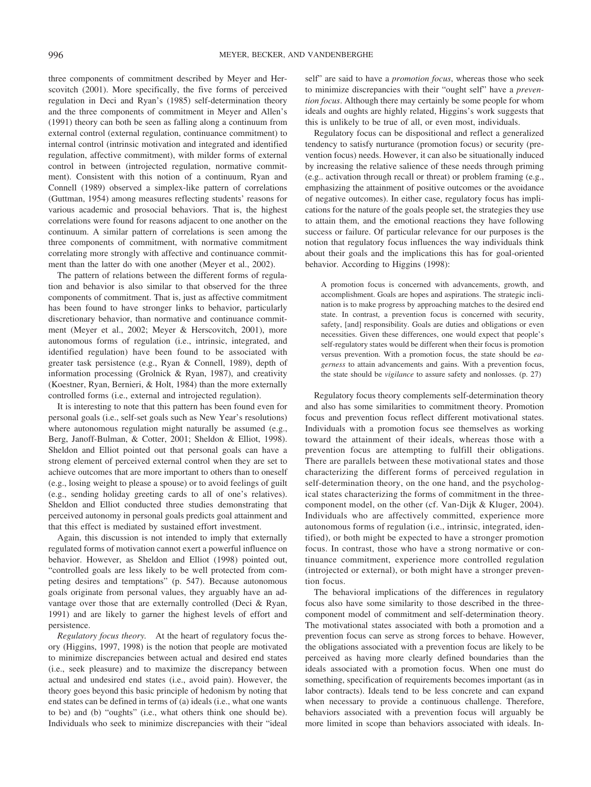three components of commitment described by Meyer and Herscovitch (2001). More specifically, the five forms of perceived regulation in Deci and Ryan's (1985) self-determination theory and the three components of commitment in Meyer and Allen's (1991) theory can both be seen as falling along a continuum from external control (external regulation, continuance commitment) to internal control (intrinsic motivation and integrated and identified regulation, affective commitment), with milder forms of external control in between (introjected regulation, normative commitment). Consistent with this notion of a continuum, Ryan and Connell (1989) observed a simplex-like pattern of correlations (Guttman, 1954) among measures reflecting students' reasons for various academic and prosocial behaviors. That is, the highest correlations were found for reasons adjacent to one another on the continuum. A similar pattern of correlations is seen among the three components of commitment, with normative commitment correlating more strongly with affective and continuance commitment than the latter do with one another (Meyer et al., 2002).

The pattern of relations between the different forms of regulation and behavior is also similar to that observed for the three components of commitment. That is, just as affective commitment has been found to have stronger links to behavior, particularly discretionary behavior, than normative and continuance commitment (Meyer et al., 2002; Meyer & Herscovitch, 2001), more autonomous forms of regulation (i.e., intrinsic, integrated, and identified regulation) have been found to be associated with greater task persistence (e.g., Ryan & Connell, 1989), depth of information processing (Grolnick & Ryan, 1987), and creativity (Koestner, Ryan, Bernieri, & Holt, 1984) than the more externally controlled forms (i.e., external and introjected regulation).

It is interesting to note that this pattern has been found even for personal goals (i.e., self-set goals such as New Year's resolutions) where autonomous regulation might naturally be assumed (e.g., Berg, Janoff-Bulman, & Cotter, 2001; Sheldon & Elliot, 1998). Sheldon and Elliot pointed out that personal goals can have a strong element of perceived external control when they are set to achieve outcomes that are more important to others than to oneself (e.g., losing weight to please a spouse) or to avoid feelings of guilt (e.g., sending holiday greeting cards to all of one's relatives). Sheldon and Elliot conducted three studies demonstrating that perceived autonomy in personal goals predicts goal attainment and that this effect is mediated by sustained effort investment.

Again, this discussion is not intended to imply that externally regulated forms of motivation cannot exert a powerful influence on behavior. However, as Sheldon and Elliot (1998) pointed out, "controlled goals are less likely to be well protected from competing desires and temptations" (p. 547). Because autonomous goals originate from personal values, they arguably have an advantage over those that are externally controlled (Deci & Ryan, 1991) and are likely to garner the highest levels of effort and persistence.

*Regulatory focus theory.* At the heart of regulatory focus theory (Higgins, 1997, 1998) is the notion that people are motivated to minimize discrepancies between actual and desired end states (i.e., seek pleasure) and to maximize the discrepancy between actual and undesired end states (i.e., avoid pain). However, the theory goes beyond this basic principle of hedonism by noting that end states can be defined in terms of (a) ideals (i.e., what one wants to be) and (b) "oughts" (i.e., what others think one should be). Individuals who seek to minimize discrepancies with their "ideal self" are said to have a *promotion focus*, whereas those who seek to minimize discrepancies with their "ought self" have a *prevention focus*. Although there may certainly be some people for whom ideals and oughts are highly related, Higgins's work suggests that this is unlikely to be true of all, or even most, individuals.

Regulatory focus can be dispositional and reflect a generalized tendency to satisfy nurturance (promotion focus) or security (prevention focus) needs. However, it can also be situationally induced by increasing the relative salience of these needs through priming (e.g.. activation through recall or threat) or problem framing (e.g., emphasizing the attainment of positive outcomes or the avoidance of negative outcomes). In either case, regulatory focus has implications for the nature of the goals people set, the strategies they use to attain them, and the emotional reactions they have following success or failure. Of particular relevance for our purposes is the notion that regulatory focus influences the way individuals think about their goals and the implications this has for goal-oriented behavior. According to Higgins (1998):

A promotion focus is concerned with advancements, growth, and accomplishment. Goals are hopes and aspirations. The strategic inclination is to make progress by approaching matches to the desired end state. In contrast, a prevention focus is concerned with security, safety, [and] responsibility. Goals are duties and obligations or even necessities. Given these differences, one would expect that people's self-regulatory states would be different when their focus is promotion versus prevention. With a promotion focus, the state should be *eagerness* to attain advancements and gains. With a prevention focus, the state should be *vigilance* to assure safety and nonlosses. (p. 27)

Regulatory focus theory complements self-determination theory and also has some similarities to commitment theory. Promotion focus and prevention focus reflect different motivational states. Individuals with a promotion focus see themselves as working toward the attainment of their ideals, whereas those with a prevention focus are attempting to fulfill their obligations. There are parallels between these motivational states and those characterizing the different forms of perceived regulation in self-determination theory, on the one hand, and the psychological states characterizing the forms of commitment in the threecomponent model, on the other (cf. Van-Dijk & Kluger, 2004). Individuals who are affectively committed, experience more autonomous forms of regulation (i.e., intrinsic, integrated, identified), or both might be expected to have a stronger promotion focus. In contrast, those who have a strong normative or continuance commitment, experience more controlled regulation (introjected or external), or both might have a stronger prevention focus.

The behavioral implications of the differences in regulatory focus also have some similarity to those described in the threecomponent model of commitment and self-determination theory. The motivational states associated with both a promotion and a prevention focus can serve as strong forces to behave. However, the obligations associated with a prevention focus are likely to be perceived as having more clearly defined boundaries than the ideals associated with a promotion focus. When one must do something, specification of requirements becomes important (as in labor contracts). Ideals tend to be less concrete and can expand when necessary to provide a continuous challenge. Therefore, behaviors associated with a prevention focus will arguably be more limited in scope than behaviors associated with ideals. In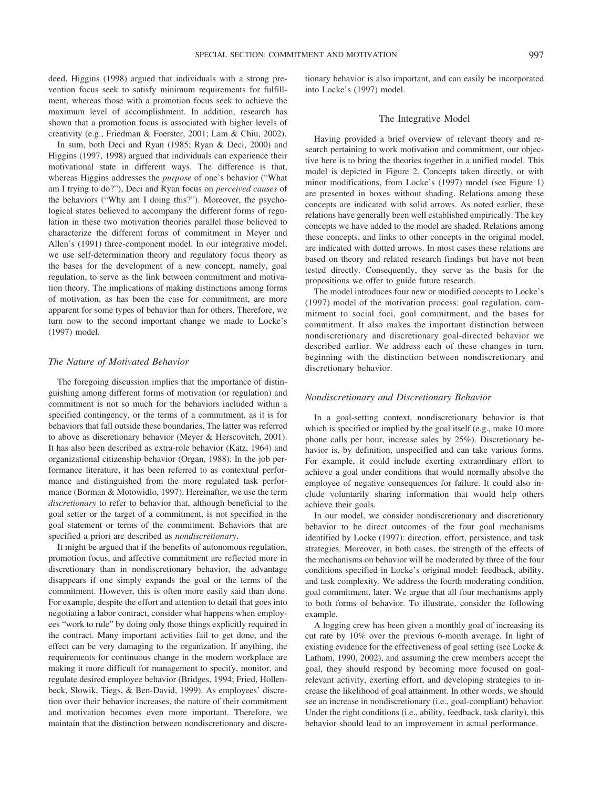deed, Higgins (1998) argued that individuals with a strong prevention focus seek to satisfy minimum requirements for fulfillment, whereas those with a promotion focus seek to achieve the maximum level of accomplishment. In addition, research has shown that a promotion focus is associated with higher levels of creativity (e.g., Friedman & Foerster, 2001; Lam & Chiu, 2002).

In sum, both Deci and Ryan (1985; Ryan & Deci, 2000) and Higgins (1997, 1998) argued that individuals can experience their motivational state in different ways. The difference is that, whereas Higgins addresses the *purpose* of one's behavior ("What am I trying to do?"), Deci and Ryan focus on *perceived causes* of the behaviors ("Why am I doing this?"). Moreover, the psychological states believed to accompany the different forms of regulation in these two motivation theories parallel those believed to characterize the different forms of commitment in Meyer and Allen's (1991) three-component model. In our integrative model, we use self-determination theory and regulatory focus theory as the bases for the development of a new concept, namely, goal regulation, to serve as the link between commitment and motivation theory. The implications of making distinctions among forms of motivation, as has been the case for commitment, are more apparent for some types of behavior than for others. Therefore, we turn now to the second important change we made to Locke's (1997) model.

# *The Nature of Motivated Behavior*

The foregoing discussion implies that the importance of distinguishing among different forms of motivation (or regulation) and commitment is not so much for the behaviors included within a specified contingency, or the terms of a commitment, as it is for behaviors that fall outside these boundaries. The latter was referred to above as discretionary behavior (Meyer & Herscovitch, 2001). It has also been described as extra-role behavior (Katz, 1964) and organizational citizenship behavior (Organ, 1988). In the job performance literature, it has been referred to as contextual performance and distinguished from the more regulated task performance (Borman & Motowidlo, 1997). Hereinafter, we use the term *discretionary* to refer to behavior that, although beneficial to the goal setter or the target of a commitment, is not specified in the goal statement or terms of the commitment. Behaviors that are specified a priori are described as *nondiscretionary*.

It might be argued that if the benefits of autonomous regulation, promotion focus, and affective commitment are reflected more in discretionary than in nondiscretionary behavior, the advantage disappears if one simply expands the goal or the terms of the commitment. However, this is often more easily said than done. For example, despite the effort and attention to detail that goes into negotiating a labor contract, consider what happens when employees "work to rule" by doing only those things explicitly required in the contract. Many important activities fail to get done, and the effect can be very damaging to the organization. If anything, the requirements for continuous change in the modern workplace are making it more difficult for management to specify, monitor, and regulate desired employee behavior (Bridges, 1994; Fried, Hollenbeck, Slowik, Tiegs, & Ben-David, 1999). As employees' discretion over their behavior increases, the nature of their commitment and motivation becomes even more important. Therefore, we maintain that the distinction between nondiscretionary and discretionary behavior is also important, and can easily be incorporated into Locke's (1997) model.

### The Integrative Model

Having provided a brief overview of relevant theory and research pertaining to work motivation and commitment, our objective here is to bring the theories together in a unified model. This model is depicted in Figure 2. Concepts taken directly, or with minor modifications, from Locke's (1997) model (see Figure 1) are presented in boxes without shading. Relations among these concepts are indicated with solid arrows. As noted earlier, these relations have generally been well established empirically. The key concepts we have added to the model are shaded. Relations among these concepts, and links to other concepts in the original model, are indicated with dotted arrows. In most cases these relations are based on theory and related research findings but have not been tested directly. Consequently, they serve as the basis for the propositions we offer to guide future research.

The model introduces four new or modified concepts to Locke's (1997) model of the motivation process: goal regulation, commitment to social foci, goal commitment, and the bases for commitment. It also makes the important distinction between nondiscretionary and discretionary goal-directed behavior we described earlier. We address each of these changes in turn, beginning with the distinction between nondiscretionary and discretionary behavior.

### *Nondiscretionary and Discretionary Behavior*

In a goal-setting context, nondiscretionary behavior is that which is specified or implied by the goal itself (e.g., make 10 more phone calls per hour, increase sales by 25%). Discretionary behavior is, by definition, unspecified and can take various forms. For example, it could include exerting extraordinary effort to achieve a goal under conditions that would normally absolve the employee of negative consequences for failure. It could also include voluntarily sharing information that would help others achieve their goals.

In our model, we consider nondiscretionary and discretionary behavior to be direct outcomes of the four goal mechanisms identified by Locke (1997): direction, effort, persistence, and task strategies. Moreover, in both cases, the strength of the effects of the mechanisms on behavior will be moderated by three of the four conditions specified in Locke's original model: feedback, ability, and task complexity. We address the fourth moderating condition, goal commitment, later. We argue that all four mechanisms apply to both forms of behavior. To illustrate, consider the following example.

A logging crew has been given a monthly goal of increasing its cut rate by 10% over the previous 6-month average. In light of existing evidence for the effectiveness of goal setting (see Locke & Latham, 1990, 2002), and assuming the crew members accept the goal, they should respond by becoming more focused on goalrelevant activity, exerting effort, and developing strategies to increase the likelihood of goal attainment. In other words, we should see an increase in nondiscretionary (i.e., goal-compliant) behavior. Under the right conditions (i.e., ability, feedback, task clarity), this behavior should lead to an improvement in actual performance.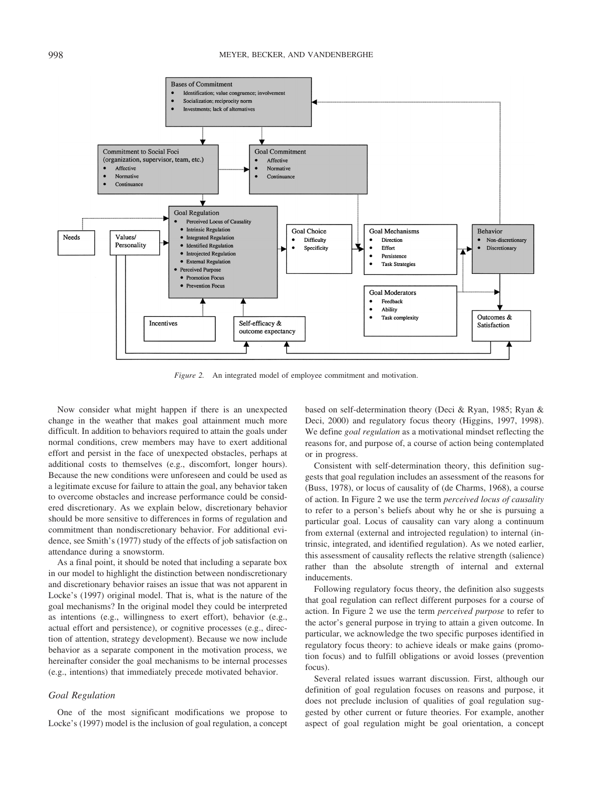

*Figure 2.* An integrated model of employee commitment and motivation.

Now consider what might happen if there is an unexpected change in the weather that makes goal attainment much more difficult. In addition to behaviors required to attain the goals under normal conditions, crew members may have to exert additional effort and persist in the face of unexpected obstacles, perhaps at additional costs to themselves (e.g., discomfort, longer hours). Because the new conditions were unforeseen and could be used as a legitimate excuse for failure to attain the goal, any behavior taken to overcome obstacles and increase performance could be considered discretionary. As we explain below, discretionary behavior should be more sensitive to differences in forms of regulation and commitment than nondiscretionary behavior. For additional evidence, see Smith's (1977) study of the effects of job satisfaction on attendance during a snowstorm.

As a final point, it should be noted that including a separate box in our model to highlight the distinction between nondiscretionary and discretionary behavior raises an issue that was not apparent in Locke's (1997) original model. That is, what is the nature of the goal mechanisms? In the original model they could be interpreted as intentions (e.g., willingness to exert effort), behavior (e.g., actual effort and persistence), or cognitive processes (e.g., direction of attention, strategy development). Because we now include behavior as a separate component in the motivation process, we hereinafter consider the goal mechanisms to be internal processes (e.g., intentions) that immediately precede motivated behavior.

# *Goal Regulation*

One of the most significant modifications we propose to Locke's (1997) model is the inclusion of goal regulation, a concept based on self-determination theory (Deci & Ryan, 1985; Ryan & Deci, 2000) and regulatory focus theory (Higgins, 1997, 1998). We define *goal regulation* as a motivational mindset reflecting the reasons for, and purpose of, a course of action being contemplated or in progress.

Consistent with self-determination theory, this definition suggests that goal regulation includes an assessment of the reasons for (Buss, 1978), or locus of causality of (de Charms, 1968), a course of action. In Figure 2 we use the term *perceived locus of causality* to refer to a person's beliefs about why he or she is pursuing a particular goal. Locus of causality can vary along a continuum from external (external and introjected regulation) to internal (intrinsic, integrated, and identified regulation). As we noted earlier, this assessment of causality reflects the relative strength (salience) rather than the absolute strength of internal and external inducements.

Following regulatory focus theory, the definition also suggests that goal regulation can reflect different purposes for a course of action. In Figure 2 we use the term *perceived purpose* to refer to the actor's general purpose in trying to attain a given outcome. In particular, we acknowledge the two specific purposes identified in regulatory focus theory: to achieve ideals or make gains (promotion focus) and to fulfill obligations or avoid losses (prevention focus).

Several related issues warrant discussion. First, although our definition of goal regulation focuses on reasons and purpose, it does not preclude inclusion of qualities of goal regulation suggested by other current or future theories. For example, another aspect of goal regulation might be goal orientation, a concept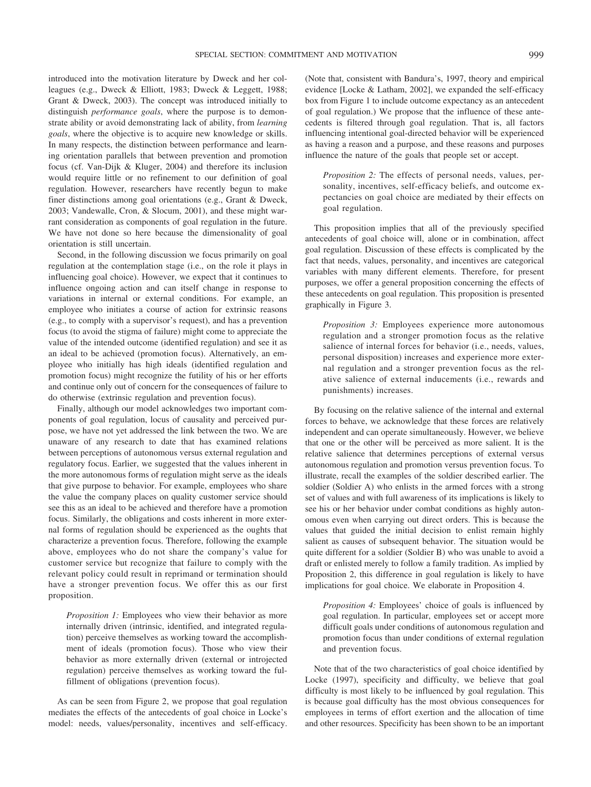introduced into the motivation literature by Dweck and her colleagues (e.g., Dweck & Elliott, 1983; Dweck & Leggett, 1988; Grant & Dweck, 2003). The concept was introduced initially to distinguish *performance goals*, where the purpose is to demonstrate ability or avoid demonstrating lack of ability, from *learning goals*, where the objective is to acquire new knowledge or skills. In many respects, the distinction between performance and learning orientation parallels that between prevention and promotion focus (cf. Van-Dijk & Kluger, 2004) and therefore its inclusion would require little or no refinement to our definition of goal regulation. However, researchers have recently begun to make finer distinctions among goal orientations (e.g., Grant & Dweck, 2003; Vandewalle, Cron, & Slocum, 2001), and these might warrant consideration as components of goal regulation in the future. We have not done so here because the dimensionality of goal orientation is still uncertain.

Second, in the following discussion we focus primarily on goal regulation at the contemplation stage (i.e., on the role it plays in influencing goal choice). However, we expect that it continues to influence ongoing action and can itself change in response to variations in internal or external conditions. For example, an employee who initiates a course of action for extrinsic reasons (e.g., to comply with a supervisor's request), and has a prevention focus (to avoid the stigma of failure) might come to appreciate the value of the intended outcome (identified regulation) and see it as an ideal to be achieved (promotion focus). Alternatively, an employee who initially has high ideals (identified regulation and promotion focus) might recognize the futility of his or her efforts and continue only out of concern for the consequences of failure to do otherwise (extrinsic regulation and prevention focus).

Finally, although our model acknowledges two important components of goal regulation, locus of causality and perceived purpose, we have not yet addressed the link between the two. We are unaware of any research to date that has examined relations between perceptions of autonomous versus external regulation and regulatory focus. Earlier, we suggested that the values inherent in the more autonomous forms of regulation might serve as the ideals that give purpose to behavior. For example, employees who share the value the company places on quality customer service should see this as an ideal to be achieved and therefore have a promotion focus. Similarly, the obligations and costs inherent in more external forms of regulation should be experienced as the oughts that characterize a prevention focus. Therefore, following the example above, employees who do not share the company's value for customer service but recognize that failure to comply with the relevant policy could result in reprimand or termination should have a stronger prevention focus. We offer this as our first proposition.

*Proposition 1:* Employees who view their behavior as more internally driven (intrinsic, identified, and integrated regulation) perceive themselves as working toward the accomplishment of ideals (promotion focus). Those who view their behavior as more externally driven (external or introjected regulation) perceive themselves as working toward the fulfillment of obligations (prevention focus).

As can be seen from Figure 2, we propose that goal regulation mediates the effects of the antecedents of goal choice in Locke's model: needs, values/personality, incentives and self-efficacy. (Note that, consistent with Bandura's, 1997, theory and empirical evidence [Locke & Latham, 2002], we expanded the self-efficacy box from Figure 1 to include outcome expectancy as an antecedent of goal regulation.) We propose that the influence of these antecedents is filtered through goal regulation. That is, all factors influencing intentional goal-directed behavior will be experienced as having a reason and a purpose, and these reasons and purposes influence the nature of the goals that people set or accept.

*Proposition 2:* The effects of personal needs, values, personality, incentives, self-efficacy beliefs, and outcome expectancies on goal choice are mediated by their effects on goal regulation.

This proposition implies that all of the previously specified antecedents of goal choice will, alone or in combination, affect goal regulation. Discussion of these effects is complicated by the fact that needs, values, personality, and incentives are categorical variables with many different elements. Therefore, for present purposes, we offer a general proposition concerning the effects of these antecedents on goal regulation. This proposition is presented graphically in Figure 3.

*Proposition 3:* Employees experience more autonomous regulation and a stronger promotion focus as the relative salience of internal forces for behavior (i.e., needs, values, personal disposition) increases and experience more external regulation and a stronger prevention focus as the relative salience of external inducements (i.e., rewards and punishments) increases.

By focusing on the relative salience of the internal and external forces to behave, we acknowledge that these forces are relatively independent and can operate simultaneously. However, we believe that one or the other will be perceived as more salient. It is the relative salience that determines perceptions of external versus autonomous regulation and promotion versus prevention focus. To illustrate, recall the examples of the soldier described earlier. The soldier (Soldier A) who enlists in the armed forces with a strong set of values and with full awareness of its implications is likely to see his or her behavior under combat conditions as highly autonomous even when carrying out direct orders. This is because the values that guided the initial decision to enlist remain highly salient as causes of subsequent behavior. The situation would be quite different for a soldier (Soldier B) who was unable to avoid a draft or enlisted merely to follow a family tradition. As implied by Proposition 2, this difference in goal regulation is likely to have implications for goal choice. We elaborate in Proposition 4.

*Proposition 4:* Employees' choice of goals is influenced by goal regulation. In particular, employees set or accept more difficult goals under conditions of autonomous regulation and promotion focus than under conditions of external regulation and prevention focus.

Note that of the two characteristics of goal choice identified by Locke (1997), specificity and difficulty, we believe that goal difficulty is most likely to be influenced by goal regulation. This is because goal difficulty has the most obvious consequences for employees in terms of effort exertion and the allocation of time and other resources. Specificity has been shown to be an important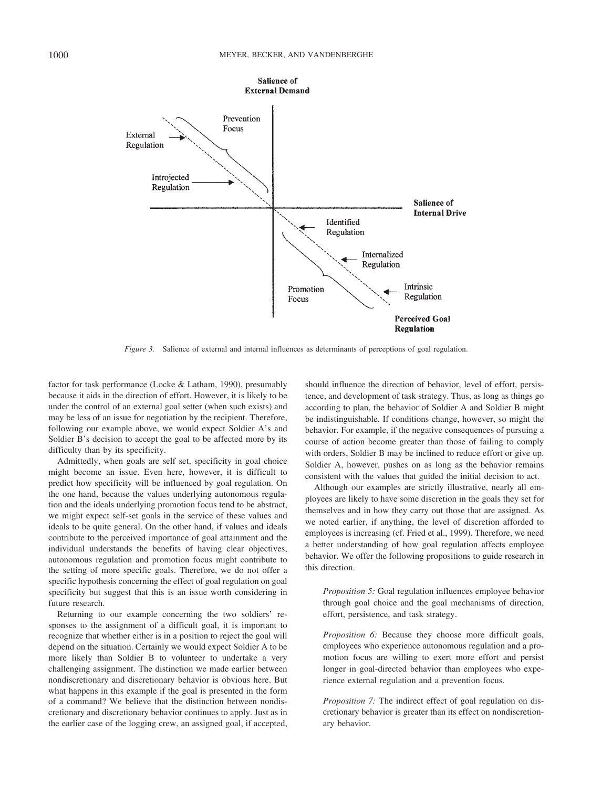

*Figure 3.* Salience of external and internal influences as determinants of perceptions of goal regulation.

factor for task performance (Locke & Latham, 1990), presumably because it aids in the direction of effort. However, it is likely to be under the control of an external goal setter (when such exists) and may be less of an issue for negotiation by the recipient. Therefore, following our example above, we would expect Soldier A's and Soldier B's decision to accept the goal to be affected more by its difficulty than by its specificity.

Admittedly, when goals are self set, specificity in goal choice might become an issue. Even here, however, it is difficult to predict how specificity will be influenced by goal regulation. On the one hand, because the values underlying autonomous regulation and the ideals underlying promotion focus tend to be abstract, we might expect self-set goals in the service of these values and ideals to be quite general. On the other hand, if values and ideals contribute to the perceived importance of goal attainment and the individual understands the benefits of having clear objectives, autonomous regulation and promotion focus might contribute to the setting of more specific goals. Therefore, we do not offer a specific hypothesis concerning the effect of goal regulation on goal specificity but suggest that this is an issue worth considering in future research.

Returning to our example concerning the two soldiers' responses to the assignment of a difficult goal, it is important to recognize that whether either is in a position to reject the goal will depend on the situation. Certainly we would expect Soldier A to be more likely than Soldier B to volunteer to undertake a very challenging assignment. The distinction we made earlier between nondiscretionary and discretionary behavior is obvious here. But what happens in this example if the goal is presented in the form of a command? We believe that the distinction between nondiscretionary and discretionary behavior continues to apply. Just as in the earlier case of the logging crew, an assigned goal, if accepted,

should influence the direction of behavior, level of effort, persistence, and development of task strategy. Thus, as long as things go according to plan, the behavior of Soldier A and Soldier B might be indistinguishable. If conditions change, however, so might the behavior. For example, if the negative consequences of pursuing a course of action become greater than those of failing to comply with orders, Soldier B may be inclined to reduce effort or give up. Soldier A, however, pushes on as long as the behavior remains consistent with the values that guided the initial decision to act.

Although our examples are strictly illustrative, nearly all employees are likely to have some discretion in the goals they set for themselves and in how they carry out those that are assigned. As we noted earlier, if anything, the level of discretion afforded to employees is increasing (cf. Fried et al., 1999). Therefore, we need a better understanding of how goal regulation affects employee behavior. We offer the following propositions to guide research in this direction.

*Proposition 5:* Goal regulation influences employee behavior through goal choice and the goal mechanisms of direction, effort, persistence, and task strategy.

*Proposition 6:* Because they choose more difficult goals, employees who experience autonomous regulation and a promotion focus are willing to exert more effort and persist longer in goal-directed behavior than employees who experience external regulation and a prevention focus.

*Proposition 7:* The indirect effect of goal regulation on discretionary behavior is greater than its effect on nondiscretionary behavior.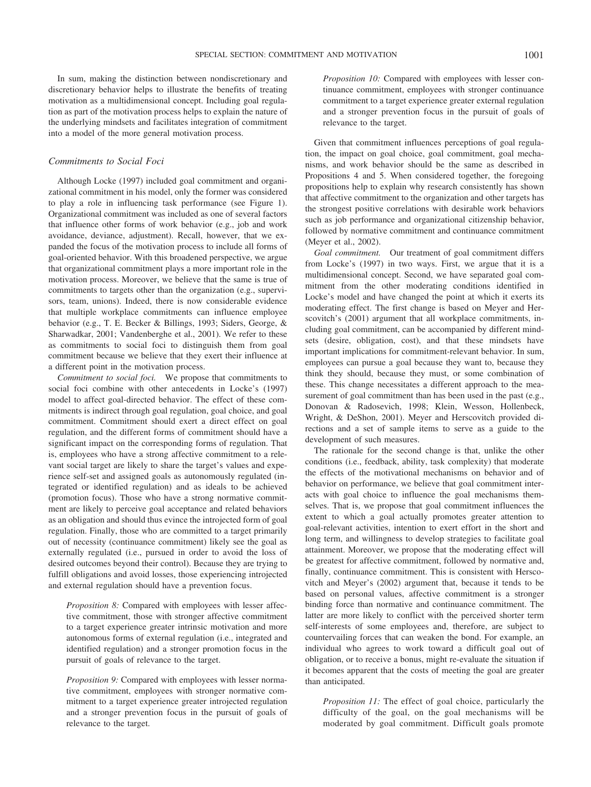In sum, making the distinction between nondiscretionary and discretionary behavior helps to illustrate the benefits of treating motivation as a multidimensional concept. Including goal regulation as part of the motivation process helps to explain the nature of the underlying mindsets and facilitates integration of commitment into a model of the more general motivation process.

# *Commitments to Social Foci*

Although Locke (1997) included goal commitment and organizational commitment in his model, only the former was considered to play a role in influencing task performance (see Figure 1). Organizational commitment was included as one of several factors that influence other forms of work behavior (e.g., job and work avoidance, deviance, adjustment). Recall, however, that we expanded the focus of the motivation process to include all forms of goal-oriented behavior. With this broadened perspective, we argue that organizational commitment plays a more important role in the motivation process. Moreover, we believe that the same is true of commitments to targets other than the organization (e.g., supervisors, team, unions). Indeed, there is now considerable evidence that multiple workplace commitments can influence employee behavior (e.g., T. E. Becker & Billings, 1993; Siders, George, & Sharwadkar, 2001; Vandenberghe et al., 2001). We refer to these as commitments to social foci to distinguish them from goal commitment because we believe that they exert their influence at a different point in the motivation process.

*Commitment to social foci.* We propose that commitments to social foci combine with other antecedents in Locke's (1997) model to affect goal-directed behavior. The effect of these commitments is indirect through goal regulation, goal choice, and goal commitment. Commitment should exert a direct effect on goal regulation, and the different forms of commitment should have a significant impact on the corresponding forms of regulation. That is, employees who have a strong affective commitment to a relevant social target are likely to share the target's values and experience self-set and assigned goals as autonomously regulated (integrated or identified regulation) and as ideals to be achieved (promotion focus). Those who have a strong normative commitment are likely to perceive goal acceptance and related behaviors as an obligation and should thus evince the introjected form of goal regulation. Finally, those who are committed to a target primarily out of necessity (continuance commitment) likely see the goal as externally regulated (i.e., pursued in order to avoid the loss of desired outcomes beyond their control). Because they are trying to fulfill obligations and avoid losses, those experiencing introjected and external regulation should have a prevention focus.

*Proposition 8:* Compared with employees with lesser affective commitment, those with stronger affective commitment to a target experience greater intrinsic motivation and more autonomous forms of external regulation (i.e., integrated and identified regulation) and a stronger promotion focus in the pursuit of goals of relevance to the target.

*Proposition 9:* Compared with employees with lesser normative commitment, employees with stronger normative commitment to a target experience greater introjected regulation and a stronger prevention focus in the pursuit of goals of relevance to the target.

*Proposition 10:* Compared with employees with lesser continuance commitment, employees with stronger continuance commitment to a target experience greater external regulation and a stronger prevention focus in the pursuit of goals of relevance to the target.

Given that commitment influences perceptions of goal regulation, the impact on goal choice, goal commitment, goal mechanisms, and work behavior should be the same as described in Propositions 4 and 5. When considered together, the foregoing propositions help to explain why research consistently has shown that affective commitment to the organization and other targets has the strongest positive correlations with desirable work behaviors such as job performance and organizational citizenship behavior, followed by normative commitment and continuance commitment (Meyer et al., 2002).

*Goal commitment.* Our treatment of goal commitment differs from Locke's (1997) in two ways. First, we argue that it is a multidimensional concept. Second, we have separated goal commitment from the other moderating conditions identified in Locke's model and have changed the point at which it exerts its moderating effect. The first change is based on Meyer and Herscovitch's (2001) argument that all workplace commitments, including goal commitment, can be accompanied by different mindsets (desire, obligation, cost), and that these mindsets have important implications for commitment-relevant behavior. In sum, employees can pursue a goal because they want to, because they think they should, because they must, or some combination of these. This change necessitates a different approach to the measurement of goal commitment than has been used in the past (e.g., Donovan & Radosevich, 1998; Klein, Wesson, Hollenbeck, Wright, & DeShon, 2001). Meyer and Herscovitch provided directions and a set of sample items to serve as a guide to the development of such measures.

The rationale for the second change is that, unlike the other conditions (i.e., feedback, ability, task complexity) that moderate the effects of the motivational mechanisms on behavior and of behavior on performance, we believe that goal commitment interacts with goal choice to influence the goal mechanisms themselves. That is, we propose that goal commitment influences the extent to which a goal actually promotes greater attention to goal-relevant activities, intention to exert effort in the short and long term, and willingness to develop strategies to facilitate goal attainment. Moreover, we propose that the moderating effect will be greatest for affective commitment, followed by normative and, finally, continuance commitment. This is consistent with Herscovitch and Meyer's (2002) argument that, because it tends to be based on personal values, affective commitment is a stronger binding force than normative and continuance commitment. The latter are more likely to conflict with the perceived shorter term self-interests of some employees and, therefore, are subject to countervailing forces that can weaken the bond. For example, an individual who agrees to work toward a difficult goal out of obligation, or to receive a bonus, might re-evaluate the situation if it becomes apparent that the costs of meeting the goal are greater than anticipated.

*Proposition 11:* The effect of goal choice, particularly the difficulty of the goal, on the goal mechanisms will be moderated by goal commitment. Difficult goals promote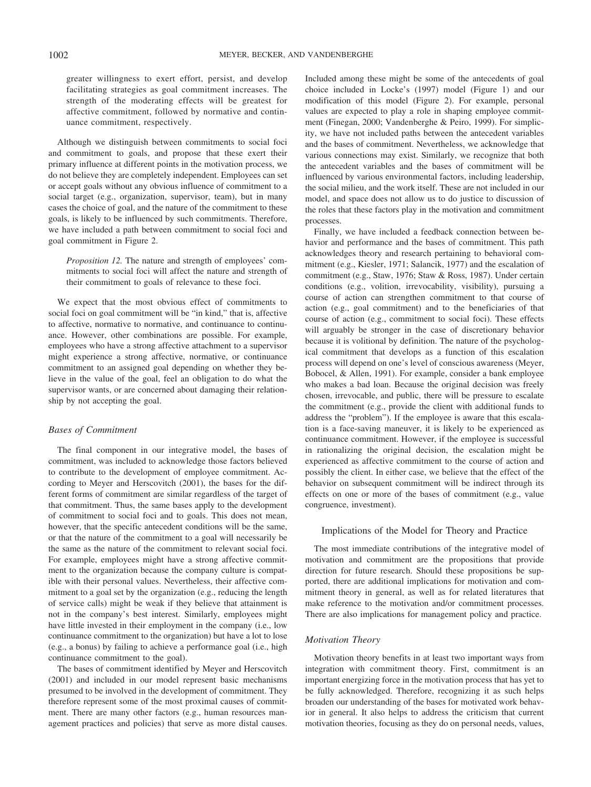greater willingness to exert effort, persist, and develop facilitating strategies as goal commitment increases. The strength of the moderating effects will be greatest for affective commitment, followed by normative and continuance commitment, respectively.

Although we distinguish between commitments to social foci and commitment to goals, and propose that these exert their primary influence at different points in the motivation process, we do not believe they are completely independent. Employees can set or accept goals without any obvious influence of commitment to a social target (e.g., organization, supervisor, team), but in many cases the choice of goal, and the nature of the commitment to these goals, is likely to be influenced by such commitments. Therefore, we have included a path between commitment to social foci and goal commitment in Figure 2.

*Proposition 12.* The nature and strength of employees' commitments to social foci will affect the nature and strength of their commitment to goals of relevance to these foci.

We expect that the most obvious effect of commitments to social foci on goal commitment will be "in kind," that is, affective to affective, normative to normative, and continuance to continuance. However, other combinations are possible. For example, employees who have a strong affective attachment to a supervisor might experience a strong affective, normative, or continuance commitment to an assigned goal depending on whether they believe in the value of the goal, feel an obligation to do what the supervisor wants, or are concerned about damaging their relationship by not accepting the goal.

#### *Bases of Commitment*

The final component in our integrative model, the bases of commitment, was included to acknowledge those factors believed to contribute to the development of employee commitment. According to Meyer and Herscovitch (2001), the bases for the different forms of commitment are similar regardless of the target of that commitment. Thus, the same bases apply to the development of commitment to social foci and to goals. This does not mean, however, that the specific antecedent conditions will be the same, or that the nature of the commitment to a goal will necessarily be the same as the nature of the commitment to relevant social foci. For example, employees might have a strong affective commitment to the organization because the company culture is compatible with their personal values. Nevertheless, their affective commitment to a goal set by the organization (e.g., reducing the length of service calls) might be weak if they believe that attainment is not in the company's best interest. Similarly, employees might have little invested in their employment in the company (i.e., low continuance commitment to the organization) but have a lot to lose (e.g., a bonus) by failing to achieve a performance goal (i.e., high continuance commitment to the goal).

The bases of commitment identified by Meyer and Herscovitch (2001) and included in our model represent basic mechanisms presumed to be involved in the development of commitment. They therefore represent some of the most proximal causes of commitment. There are many other factors (e.g., human resources management practices and policies) that serve as more distal causes.

Included among these might be some of the antecedents of goal choice included in Locke's (1997) model (Figure 1) and our modification of this model (Figure 2). For example, personal values are expected to play a role in shaping employee commitment (Finegan, 2000; Vandenberghe & Peiro, 1999). For simplicity, we have not included paths between the antecedent variables and the bases of commitment. Nevertheless, we acknowledge that various connections may exist. Similarly, we recognize that both the antecedent variables and the bases of commitment will be influenced by various environmental factors, including leadership, the social milieu, and the work itself. These are not included in our model, and space does not allow us to do justice to discussion of the roles that these factors play in the motivation and commitment processes.

Finally, we have included a feedback connection between behavior and performance and the bases of commitment. This path acknowledges theory and research pertaining to behavioral commitment (e.g., Kiesler, 1971; Salancik, 1977) and the escalation of commitment (e.g., Staw, 1976; Staw & Ross, 1987). Under certain conditions (e.g., volition, irrevocability, visibility), pursuing a course of action can strengthen commitment to that course of action (e.g., goal commitment) and to the beneficiaries of that course of action (e.g., commitment to social foci). These effects will arguably be stronger in the case of discretionary behavior because it is volitional by definition. The nature of the psychological commitment that develops as a function of this escalation process will depend on one's level of conscious awareness (Meyer, Bobocel, & Allen, 1991). For example, consider a bank employee who makes a bad loan. Because the original decision was freely chosen, irrevocable, and public, there will be pressure to escalate the commitment (e.g., provide the client with additional funds to address the "problem"). If the employee is aware that this escalation is a face-saving maneuver, it is likely to be experienced as continuance commitment. However, if the employee is successful in rationalizing the original decision, the escalation might be experienced as affective commitment to the course of action and possibly the client. In either case, we believe that the effect of the behavior on subsequent commitment will be indirect through its effects on one or more of the bases of commitment (e.g., value congruence, investment).

### Implications of the Model for Theory and Practice

The most immediate contributions of the integrative model of motivation and commitment are the propositions that provide direction for future research. Should these propositions be supported, there are additional implications for motivation and commitment theory in general, as well as for related literatures that make reference to the motivation and/or commitment processes. There are also implications for management policy and practice.

# *Motivation Theory*

Motivation theory benefits in at least two important ways from integration with commitment theory. First, commitment is an important energizing force in the motivation process that has yet to be fully acknowledged. Therefore, recognizing it as such helps broaden our understanding of the bases for motivated work behavior in general. It also helps to address the criticism that current motivation theories, focusing as they do on personal needs, values,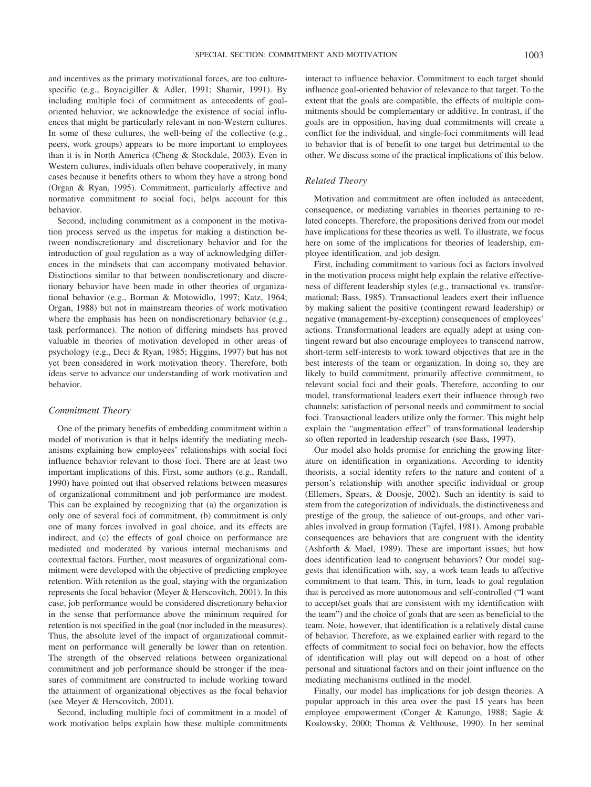and incentives as the primary motivational forces, are too culturespecific (e.g., Boyacigiller & Adler, 1991; Shamir, 1991). By including multiple foci of commitment as antecedents of goaloriented behavior, we acknowledge the existence of social influences that might be particularly relevant in non-Western cultures. In some of these cultures, the well-being of the collective (e.g., peers, work groups) appears to be more important to employees than it is in North America (Cheng & Stockdale, 2003). Even in Western cultures, individuals often behave cooperatively, in many cases because it benefits others to whom they have a strong bond (Organ & Ryan, 1995). Commitment, particularly affective and normative commitment to social foci, helps account for this behavior.

Second, including commitment as a component in the motivation process served as the impetus for making a distinction between nondiscretionary and discretionary behavior and for the introduction of goal regulation as a way of acknowledging differences in the mindsets that can accompany motivated behavior. Distinctions similar to that between nondiscretionary and discretionary behavior have been made in other theories of organizational behavior (e.g., Borman & Motowidlo, 1997; Katz, 1964; Organ, 1988) but not in mainstream theories of work motivation where the emphasis has been on nondiscretionary behavior (e.g., task performance). The notion of differing mindsets has proved valuable in theories of motivation developed in other areas of psychology (e.g., Deci & Ryan, 1985; Higgins, 1997) but has not yet been considered in work motivation theory. Therefore, both ideas serve to advance our understanding of work motivation and behavior.

### *Commitment Theory*

One of the primary benefits of embedding commitment within a model of motivation is that it helps identify the mediating mechanisms explaining how employees' relationships with social foci influence behavior relevant to those foci. There are at least two important implications of this. First, some authors (e.g., Randall, 1990) have pointed out that observed relations between measures of organizational commitment and job performance are modest. This can be explained by recognizing that (a) the organization is only one of several foci of commitment, (b) commitment is only one of many forces involved in goal choice, and its effects are indirect, and (c) the effects of goal choice on performance are mediated and moderated by various internal mechanisms and contextual factors. Further, most measures of organizational commitment were developed with the objective of predicting employee retention. With retention as the goal, staying with the organization represents the focal behavior (Meyer & Herscovitch, 2001). In this case, job performance would be considered discretionary behavior in the sense that performance above the minimum required for retention is not specified in the goal (nor included in the measures). Thus, the absolute level of the impact of organizational commitment on performance will generally be lower than on retention. The strength of the observed relations between organizational commitment and job performance should be stronger if the measures of commitment are constructed to include working toward the attainment of organizational objectives as the focal behavior (see Meyer & Herscovitch, 2001).

Second, including multiple foci of commitment in a model of work motivation helps explain how these multiple commitments

interact to influence behavior. Commitment to each target should influence goal-oriented behavior of relevance to that target. To the extent that the goals are compatible, the effects of multiple commitments should be complementary or additive. In contrast, if the goals are in opposition, having dual commitments will create a conflict for the individual, and single-foci commitments will lead to behavior that is of benefit to one target but detrimental to the other. We discuss some of the practical implications of this below.

# *Related Theory*

Motivation and commitment are often included as antecedent, consequence, or mediating variables in theories pertaining to related concepts. Therefore, the propositions derived from our model have implications for these theories as well. To illustrate, we focus here on some of the implications for theories of leadership, employee identification, and job design.

First, including commitment to various foci as factors involved in the motivation process might help explain the relative effectiveness of different leadership styles (e.g., transactional vs. transformational; Bass, 1985). Transactional leaders exert their influence by making salient the positive (contingent reward leadership) or negative (management-by-exception) consequences of employees' actions. Transformational leaders are equally adept at using contingent reward but also encourage employees to transcend narrow, short-term self-interests to work toward objectives that are in the best interests of the team or organization. In doing so, they are likely to build commitment, primarily affective commitment, to relevant social foci and their goals. Therefore, according to our model, transformational leaders exert their influence through two channels: satisfaction of personal needs and commitment to social foci. Transactional leaders utilize only the former. This might help explain the "augmentation effect" of transformational leadership so often reported in leadership research (see Bass, 1997).

Our model also holds promise for enriching the growing literature on identification in organizations. According to identity theorists, a social identity refers to the nature and content of a person's relationship with another specific individual or group (Ellemers, Spears, & Doosje, 2002). Such an identity is said to stem from the categorization of individuals, the distinctiveness and prestige of the group, the salience of out-groups, and other variables involved in group formation (Tajfel, 1981). Among probable consequences are behaviors that are congruent with the identity (Ashforth & Mael, 1989). These are important issues, but how does identification lead to congruent behaviors? Our model suggests that identification with, say, a work team leads to affective commitment to that team. This, in turn, leads to goal regulation that is perceived as more autonomous and self-controlled ("I want to accept/set goals that are consistent with my identification with the team") and the choice of goals that are seen as beneficial to the team. Note, however, that identification is a relatively distal cause of behavior. Therefore, as we explained earlier with regard to the effects of commitment to social foci on behavior, how the effects of identification will play out will depend on a host of other personal and situational factors and on their joint influence on the mediating mechanisms outlined in the model.

Finally, our model has implications for job design theories. A popular approach in this area over the past 15 years has been employee empowerment (Conger & Kanungo, 1988; Sagie & Koslowsky, 2000; Thomas & Velthouse, 1990). In her seminal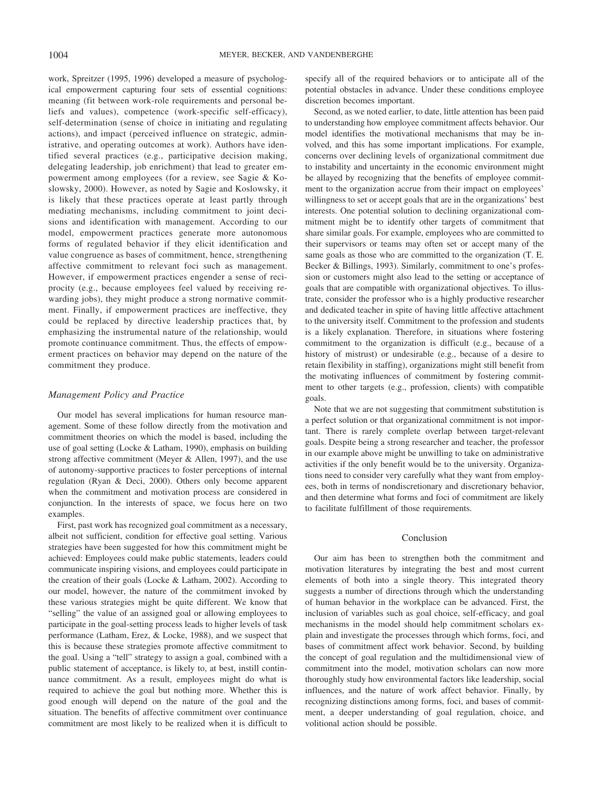work, Spreitzer (1995, 1996) developed a measure of psychological empowerment capturing four sets of essential cognitions: meaning (fit between work-role requirements and personal beliefs and values), competence (work-specific self-efficacy), self-determination (sense of choice in initiating and regulating actions), and impact (perceived influence on strategic, administrative, and operating outcomes at work). Authors have identified several practices (e.g., participative decision making, delegating leadership, job enrichment) that lead to greater empowerment among employees (for a review, see Sagie & Koslowsky, 2000). However, as noted by Sagie and Koslowsky, it is likely that these practices operate at least partly through mediating mechanisms, including commitment to joint decisions and identification with management. According to our model, empowerment practices generate more autonomous forms of regulated behavior if they elicit identification and value congruence as bases of commitment, hence, strengthening affective commitment to relevant foci such as management. However, if empowerment practices engender a sense of reciprocity (e.g., because employees feel valued by receiving rewarding jobs), they might produce a strong normative commitment. Finally, if empowerment practices are ineffective, they could be replaced by directive leadership practices that, by emphasizing the instrumental nature of the relationship, would promote continuance commitment. Thus, the effects of empowerment practices on behavior may depend on the nature of the commitment they produce.

# *Management Policy and Practice*

Our model has several implications for human resource management. Some of these follow directly from the motivation and commitment theories on which the model is based, including the use of goal setting (Locke & Latham, 1990), emphasis on building strong affective commitment (Meyer & Allen, 1997), and the use of autonomy-supportive practices to foster perceptions of internal regulation (Ryan & Deci, 2000). Others only become apparent when the commitment and motivation process are considered in conjunction. In the interests of space, we focus here on two examples.

First, past work has recognized goal commitment as a necessary, albeit not sufficient, condition for effective goal setting. Various strategies have been suggested for how this commitment might be achieved: Employees could make public statements, leaders could communicate inspiring visions, and employees could participate in the creation of their goals (Locke & Latham, 2002). According to our model, however, the nature of the commitment invoked by these various strategies might be quite different. We know that "selling" the value of an assigned goal or allowing employees to participate in the goal-setting process leads to higher levels of task performance (Latham, Erez, & Locke, 1988), and we suspect that this is because these strategies promote affective commitment to the goal. Using a "tell" strategy to assign a goal, combined with a public statement of acceptance, is likely to, at best, instill continuance commitment. As a result, employees might do what is required to achieve the goal but nothing more. Whether this is good enough will depend on the nature of the goal and the situation. The benefits of affective commitment over continuance commitment are most likely to be realized when it is difficult to

specify all of the required behaviors or to anticipate all of the potential obstacles in advance. Under these conditions employee discretion becomes important.

Second, as we noted earlier, to date, little attention has been paid to understanding how employee commitment affects behavior. Our model identifies the motivational mechanisms that may be involved, and this has some important implications. For example, concerns over declining levels of organizational commitment due to instability and uncertainty in the economic environment might be allayed by recognizing that the benefits of employee commitment to the organization accrue from their impact on employees' willingness to set or accept goals that are in the organizations' best interests. One potential solution to declining organizational commitment might be to identify other targets of commitment that share similar goals. For example, employees who are committed to their supervisors or teams may often set or accept many of the same goals as those who are committed to the organization (T. E. Becker & Billings, 1993). Similarly, commitment to one's profession or customers might also lead to the setting or acceptance of goals that are compatible with organizational objectives. To illustrate, consider the professor who is a highly productive researcher and dedicated teacher in spite of having little affective attachment to the university itself. Commitment to the profession and students is a likely explanation. Therefore, in situations where fostering commitment to the organization is difficult (e.g., because of a history of mistrust) or undesirable (e.g., because of a desire to retain flexibility in staffing), organizations might still benefit from the motivating influences of commitment by fostering commitment to other targets (e.g., profession, clients) with compatible goals.

Note that we are not suggesting that commitment substitution is a perfect solution or that organizational commitment is not important. There is rarely complete overlap between target-relevant goals. Despite being a strong researcher and teacher, the professor in our example above might be unwilling to take on administrative activities if the only benefit would be to the university. Organizations need to consider very carefully what they want from employees, both in terms of nondiscretionary and discretionary behavior, and then determine what forms and foci of commitment are likely to facilitate fulfillment of those requirements.

## Conclusion

Our aim has been to strengthen both the commitment and motivation literatures by integrating the best and most current elements of both into a single theory. This integrated theory suggests a number of directions through which the understanding of human behavior in the workplace can be advanced. First, the inclusion of variables such as goal choice, self-efficacy, and goal mechanisms in the model should help commitment scholars explain and investigate the processes through which forms, foci, and bases of commitment affect work behavior. Second, by building the concept of goal regulation and the multidimensional view of commitment into the model, motivation scholars can now more thoroughly study how environmental factors like leadership, social influences, and the nature of work affect behavior. Finally, by recognizing distinctions among forms, foci, and bases of commitment, a deeper understanding of goal regulation, choice, and volitional action should be possible.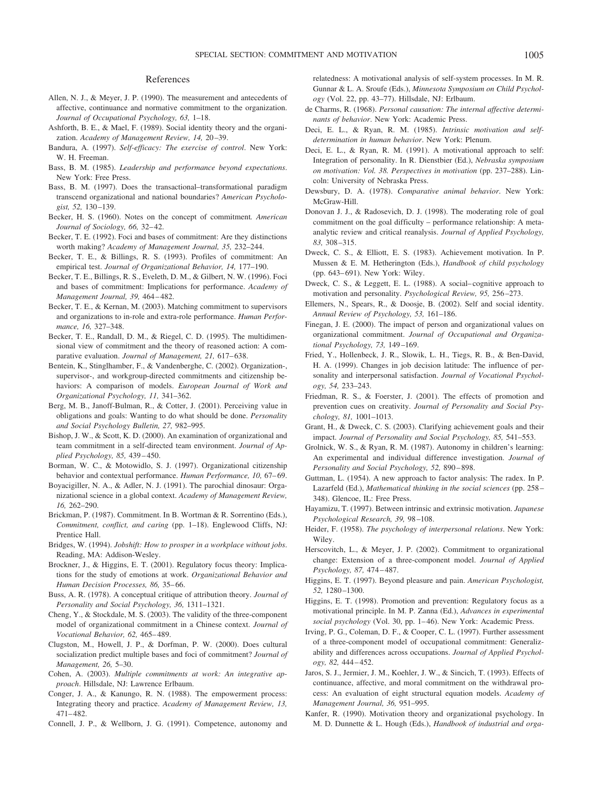#### References

- Allen, N. J., & Meyer, J. P. (1990). The measurement and antecedents of affective, continuance and normative commitment to the organization. *Journal of Occupational Psychology, 63,* 1–18.
- Ashforth, B. E., & Mael, F. (1989). Social identity theory and the organization. Academy of Management Review, 14, 20-39.
- Bandura, A. (1997). *Self-efficacy: The exercise of control*. New York: W. H. Freeman.
- Bass, B. M. (1985). *Leadership and performance beyond expectations*. New York: Free Press.
- Bass, B. M. (1997). Does the transactional–transformational paradigm transcend organizational and national boundaries? *American Psychologist, 52, 130-139.*
- Becker, H. S. (1960). Notes on the concept of commitment*. American Journal of Sociology, 66,* 32– 42.
- Becker, T. E. (1992). Foci and bases of commitment: Are they distinctions worth making? *Academy of Management Journal, 35,* 232–244.
- Becker, T. E., & Billings, R. S. (1993). Profiles of commitment: An empirical test. *Journal of Organizational Behavior, 14,* 177–190.
- Becker, T. E., Billings, R. S., Eveleth, D. M., & Gilbert, N. W. (1996). Foci and bases of commitment: Implications for performance. *Academy of Management Journal, 39,* 464 – 482.
- Becker, T. E., & Kernan, M. (2003). Matching commitment to supervisors and organizations to in-role and extra-role performance. *Human Performance, 16,* 327–348.
- Becker, T. E., Randall, D. M., & Riegel, C. D. (1995). The multidimensional view of commitment and the theory of reasoned action: A comparative evaluation. *Journal of Management*, 21, 617-638.
- Bentein, K., Stinglhamber, F., & Vandenberghe, C. (2002). Organization-, supervisor-, and workgroup-directed commitments and citizenship behaviors: A comparison of models. *European Journal of Work and Organizational Psychology, 11,* 341–362.
- Berg, M. B., Janoff-Bulman, R., & Cotter, J. (2001). Perceiving value in obligations and goals: Wanting to do what should be done. *Personality and Social Psychology Bulletin, 27,* 982–995.
- Bishop, J. W., & Scott, K. D. (2000). An examination of organizational and team commitment in a self-directed team environment. *Journal of Applied Psychology, 85,* 439 – 450.
- Borman, W. C., & Motowidlo, S. J. (1997). Organizational citizenship behavior and contextual performance. *Human Performance*, 10, 67-69.
- Boyacigiller, N. A., & Adler, N. J. (1991). The parochial dinosaur: Organizational science in a global context. *Academy of Management Review, 16,* 262–290.
- Brickman, P. (1987). Commitment. In B. Wortman & R. Sorrentino (Eds.), *Commitment, conflict, and caring* (pp. 1–18). Englewood Cliffs, NJ: Prentice Hall.
- Bridges, W. (1994). *Jobshift: How to prosper in a workplace without jobs*. Reading, MA: Addison-Wesley.
- Brockner, J., & Higgins, E. T. (2001). Regulatory focus theory: Implications for the study of emotions at work. *Organizational Behavior and Human Decision Processes, 86,* 35– 66.
- Buss, A. R. (1978). A conceptual critique of attribution theory. *Journal of Personality and Social Psychology, 36,* 1311–1321.
- Cheng, Y., & Stockdale, M. S. (2003). The validity of the three-component model of organizational commitment in a Chinese context. *Journal of Vocational Behavior, 62,* 465– 489.
- Clugston, M., Howell, J. P., & Dorfman, P. W. (2000). Does cultural socialization predict multiple bases and foci of commitment? *Journal of Management, 26,* 5–30.
- Cohen, A. (2003). *Multiple commitments at work: An integrative approach*. Hillsdale, NJ: Lawrence Erlbaum.
- Conger, J. A., & Kanungo, R. N. (1988). The empowerment process: Integrating theory and practice. *Academy of Management Review, 13,* 471– 482.
- Connell, J. P., & Wellborn, J. G. (1991). Competence, autonomy and

relatedness: A motivational analysis of self-system processes. In M. R. Gunnar & L. A. Sroufe (Eds.), *Minnesota Symposium on Child Psychology* (Vol. 22, pp. 43–77). Hillsdale, NJ: Erlbaum.

- de Charms, R. (1968). *Personal causation: The internal affective determinants of behavior*. New York: Academic Press.
- Deci, E. L., & Ryan, R. M. (1985). *Intrinsic motivation and selfdetermination in human behavior*. New York: Plenum.
- Deci, E. L., & Ryan, R. M. (1991). A motivational approach to self: Integration of personality. In R. Dienstbier (Ed.), *Nebraska symposium on motivation: Vol. 38. Perspectives in motivation* (pp. 237–288). Lincoln: University of Nebraska Press.
- Dewsbury, D. A. (1978). *Comparative animal behavior*. New York: McGraw-Hill.
- Donovan J. J., & Radosevich, D. J. (1998). The moderating role of goal commitment on the goal difficulty – performance relationship: A metaanalytic review and critical reanalysis. *Journal of Applied Psychology, 83,* 308 –315.
- Dweck, C. S., & Elliott, E. S. (1983). Achievement motivation. In P. Mussen & E. M. Hetherington (Eds.), *Handbook of child psychology* (pp. 643– 691). New York: Wiley.
- Dweck, C. S., & Leggett, E. L. (1988). A social– cognitive approach to motivation and personality. *Psychological Review, 95,* 256 –273.
- Ellemers, N., Spears, R., & Doosje, B. (2002). Self and social identity. *Annual Review of Psychology, 53,* 161–186.
- Finegan, J. E. (2000). The impact of person and organizational values on organizational commitment. *Journal of Occupational and Organizational Psychology, 73,* 149 –169.
- Fried, Y., Hollenbeck, J. R., Slowik, L. H., Tiegs, R. B., & Ben-David, H. A. (1999). Changes in job decision latitude: The influence of personality and interpersonal satisfaction. *Journal of Vocational Psychology, 54,* 233–243.
- Friedman, R. S., & Foerster, J. (2001). The effects of promotion and prevention cues on creativity. *Journal of Personality and Social Psychology, 81,* 1001–1013.
- Grant, H., & Dweck, C. S. (2003). Clarifying achievement goals and their impact. *Journal of Personality and Social Psychology, 85,* 541–553.
- Grolnick, W. S., & Ryan, R. M. (1987). Autonomy in children's learning: An experimental and individual difference investigation. *Journal of* Personality and Social Psychology, 52, 890-898.
- Guttman, L. (1954). A new approach to factor analysis: The radex. In P. Lazarfeld (Ed.), *Mathematical thinking in the social sciences* (pp. 258 – 348). Glencoe, IL: Free Press.
- Hayamizu, T. (1997). Between intrinsic and extrinsic motivation. *Japanese Psychological Research, 39,* 98 –108.
- Heider, F. (1958). *The psychology of interpersonal relations*. New York: **Wiley**
- Herscovitch, L., & Meyer, J. P. (2002). Commitment to organizational change: Extension of a three-component model. *Journal of Applied Psychology, 87,* 474 – 487.
- Higgins, E. T. (1997). Beyond pleasure and pain. *American Psychologist, 52,* 1280 –1300.
- Higgins, E. T. (1998). Promotion and prevention: Regulatory focus as a motivational principle. In M. P. Zanna (Ed.), *Advances in experimental* social psychology (Vol. 30, pp. 1-46). New York: Academic Press.
- Irving, P. G., Coleman, D. F., & Cooper, C. L. (1997). Further assessment of a three-component model of occupational commitment: Generalizability and differences across occupations. *Journal of Applied Psychology, 82,* 444 – 452.
- Jaros, S. J., Jermier, J. M., Koehler, J. W., & Sincich, T. (1993). Effects of continuance, affective, and moral commitment on the withdrawal process: An evaluation of eight structural equation models. *Academy of Management Journal, 36,* 951–995.
- Kanfer, R. (1990). Motivation theory and organizational psychology. In M. D. Dunnette & L. Hough (Eds.), *Handbook of industrial and orga-*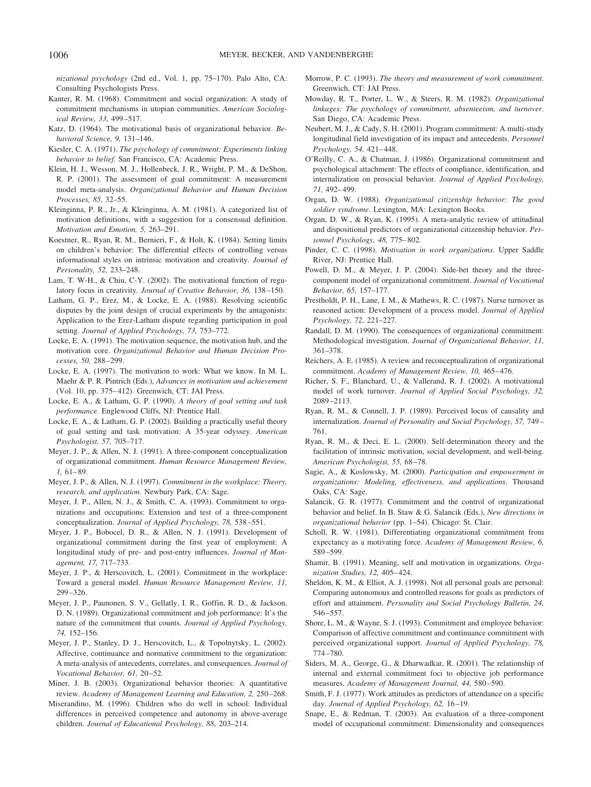*nizational psychology* (2nd ed., Vol. 1, pp. 75–170). Palo Alto, CA: Consulting Psychologists Press.

- Kanter, R. M. (1968). Commitment and social organization: A study of commitment mechanisms in utopian communities. *American Sociological Review, 33,* 499 –517.
- Katz, D. (1964). The motivational basis of organizational behavior. *Behavioral Science, 9,* 131–146.
- Kiesler, C. A. (1971). *The psychology of commitment: Experiments linking behavior to belief.* San Francisco, CA: Academic Press.
- Klein, H. J., Wesson, M. J., Hollenbeck, J. R., Wright, P. M., & DeShon, R. P. (2001). The assessment of goal commitment: A measurement model meta-analysis. *Organizational Behavior and Human Decision Processes, 85,* 32–55.
- Kleinginna, P. R., Jr., & Kleinginna, A. M. (1981). A categorized list of motivation definitions, with a suggestion for a consensual definition. *Motivation and Emotion, 5,* 263–291.
- Koestner, R., Ryan, R. M., Bernieri, F., & Holt, K. (1984). Setting limits on children's behavior: The differential effects of controlling versus informational styles on intrinsic motivation and creativity*. Journal of Personality, 52,* 233–248.
- Lam, T. W-H., & Chiu, C-Y. (2002). The motivational function of regulatory focus in creativity. *Journal of Creative Behavior, 36,* 138 –150.
- Latham, G. P., Erez, M., & Locke, E. A. (1988). Resolving scientific disputes by the joint design of crucial experiments by the antagonists: Application to the Erez-Latham dispute regarding participation in goal setting. *Journal of Applied Psychology, 73,* 753–772.
- Locke, E. A. (1991). The motivation sequence, the motivation hub, and the motivation core. *Organizational Behavior and Human Decision Processes, 50,* 288 –299.
- Locke, E. A. (1997). The motivation to work: What we know. In M. L. Maehr & P. R. Pintrich (Eds.), *Advances in motivation and achievement* (Vol. 10, pp. 375– 412). Greenwich, CT: JAI Press.
- Locke, E. A., & Latham, G. P. (1990). *A theory of goal setting and task performance.* Englewood Cliffs, NJ: Prentice Hall.
- Locke, E. A., & Latham, G. P. (2002). Building a practically useful theory of goal setting and task motivation: A 35-year odyssey. *American Psychologist, 57,* 705–717.
- Meyer, J. P., & Allen, N. J. (1991). A three-component conceptualization of organizational commitment. *Human Resource Management Review, 1,* 61– 89.
- Meyer, J. P., & Allen, N. J. (1997). *Commitment in the workplace: Theory, research, and application.* Newbury Park, CA: Sage.
- Meyer, J. P., Allen, N. J., & Smith, C. A. (1993). Commitment to organizations and occupations: Extension and test of a three-component conceptualization. *Journal of Applied Psychology, 78,* 538 –551.
- Meyer, J. P., Bobocel, D. R., & Allen, N. J. (1991). Development of organizational commitment during the first year of employment: A longitudinal study of pre- and post-entry influences. *Journal of Management, 17,* 717–733.
- Meyer, J. P., & Herscovitch, L. (2001). Commitment in the workplace: Toward a general model. *Human Resource Management Review, 11,* 299 –326.
- Meyer, J. P., Paunonen, S. V., Gellatly, I. R., Goffin, R. D., & Jackson, D. N. (1989). Organizational commitment and job performance: It's the nature of the commitment that counts. *Journal of Applied Psychology, 74,* 152–156.
- Meyer, J. P., Stanley, D. J., Herscovitch, L., & Topolnytsky, L. (2002). Affective, continuance and normative commitment to the organization: A meta-analysis of antecedents, correlates, and consequences. *Journal of Vocational Behavior, 61,* 20 –52.
- Miner, J. B. (2003). Organizational behavior theories: A quantitative review. *Academy of Management Learning and Education, 2,* 250 –268.
- Miserandino, M. (1996). Children who do well in school: Individual differences in perceived competence and autonomy in above-average children. *Journal of Educational Psychology, 88,* 203–214.
- Morrow, P. C. (1993). *The theory and measurement of work commitment*. Greenwich, CT: JAI Press.
- Mowday, R. T., Porter, L. W., & Steers, R. M. (1982). *Organizational linkages: The psychology of commitment, absenteeism, and turnover*. San Diego, CA: Academic Press.
- Neubert, M. J., & Cady, S. H. (2001). Program commitment: A multi-study longitudinal field investigation of its impact and antecedents. *Personnel Psychology, 54,* 421– 448.
- O'Reilly, C. A., & Chatman, J. (1986). Organizational commitment and psychological attachment: The effects of compliance, identification, and internalization on prosocial behavior. *Journal of Applied Psychology, 71,* 492– 499.
- Organ, D. W. (1988). *Organizational citizenship behavior: The good soldier syndrome*. Lexington, MA: Lexington Books.
- Organ, D. W., & Ryan, K. (1995). A meta-analytic review of attitudinal and dispositional predictors of organizational citizenship behavior. *Personnel Psychology, 48,* 775– 802.
- Pinder, C. C. (1998). *Motivation in work organizations*. Upper Saddle River, NJ: Prentice Hall.
- Powell, D. M., & Meyer, J. P. (2004). Side-bet theory and the threecomponent model of organizational commitment. *Journal of Vocational Behavior, 65,* 157–177.
- Prestholdt, P. H., Lane, I. M., & Mathews, R. C. (1987). Nurse turnover as reasoned action: Development of a process model. *Journal of Applied Psychology, 72,* 221–227.
- Randall, D. M. (1990). The consequences of organizational commitment: Methodological investigation. *Journal of Organizational Behavior, 11,* 361–378.
- Reichers, A. E. (1985). A review and reconceptualization of organizational commitment. *Academy of Management Review, 10, 465-476*.
- Richer, S. F., Blanchard, U., & Vallerand, R. J. (2002). A motivational model of work turnover. *Journal of Applied Social Psychology, 32,* 2089 –2113.
- Ryan, R. M., & Connell, J. P. (1989). Perceived locus of causality and internalization. *Journal of Personality and Social Psychology, 57,* 749 – 761.
- Ryan, R. M., & Deci, E. L. (2000). Self-determination theory and the facilitation of intrinsic motivation, social development, and well-being. *American Psychologist, 55,* 68 –78.
- Sagie, A., & Koslowsky, M. (2000). *Participation and empowerment in organizations: Modeling, effectiveness, and applications*. Thousand Oaks, CA: Sage.
- Salancik, G. R. (1977). Commitment and the control of organizational behavior and belief. In B. Staw & G. Salancik (Eds.), *New directions in organizational behavior* (pp. 1–54). Chicago: St. Clair.
- Scholl, R. W. (1981). Differentiating organizational commitment from expectancy as a motivating force. *Academy of Management Review, 6,* 589 –599.
- Shamir, B. (1991). Meaning, self and motivation in organizations. *Organization Studies, 12,* 405– 424.
- Sheldon, K. M., & Elliot, A. J. (1998). Not all personal goals are personal: Comparing autonomous and controlled reasons for goals as predictors of effort and attainment. *Personality and Social Psychology Bulletin, 24,* 546 –557.
- Shore, L. M., & Wayne, S. J. (1993). Commitment and employee behavior: Comparison of affective commitment and continuance commitment with perceived organizational support. *Journal of Applied Psychology, 78,* 774 –780.
- Siders, M. A., George, G., & Dharwadkar, R. (2001). The relationship of internal and external commitment foci to objective job performance measures. *Academy of Management Journal, 44,* 580 –590.
- Smith, F. J. (1977). Work attitudes as predictors of attendance on a specific day. *Journal of Applied Psychology, 62,* 16 –19.
- Snape, E., & Redman, T. (2003). An evaluation of a three-component model of occupational commitment: Dimensionality and consequences